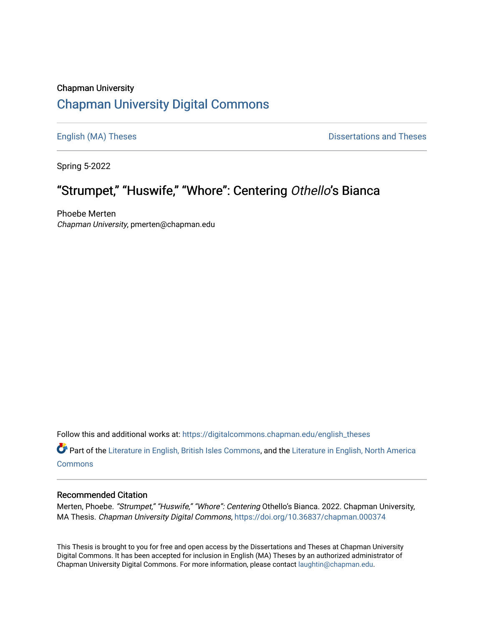## Chapman University [Chapman University Digital Commons](https://digitalcommons.chapman.edu/)

[English \(MA\) Theses](https://digitalcommons.chapman.edu/english_theses) **Dissertations and Theses** 

Spring 5-2022

# "Strumpet," "Huswife," "Whore": Centering Othello's Bianca

Phoebe Merten Chapman University, pmerten@chapman.edu

Follow this and additional works at: [https://digitalcommons.chapman.edu/english\\_theses](https://digitalcommons.chapman.edu/english_theses?utm_source=digitalcommons.chapman.edu%2Fenglish_theses%2F49&utm_medium=PDF&utm_campaign=PDFCoverPages) 

Part of the [Literature in English, British Isles Commons](http://network.bepress.com/hgg/discipline/456?utm_source=digitalcommons.chapman.edu%2Fenglish_theses%2F49&utm_medium=PDF&utm_campaign=PDFCoverPages), and the [Literature in English, North America](http://network.bepress.com/hgg/discipline/458?utm_source=digitalcommons.chapman.edu%2Fenglish_theses%2F49&utm_medium=PDF&utm_campaign=PDFCoverPages) **[Commons](http://network.bepress.com/hgg/discipline/458?utm_source=digitalcommons.chapman.edu%2Fenglish_theses%2F49&utm_medium=PDF&utm_campaign=PDFCoverPages)** 

#### Recommended Citation

Merten, Phoebe. "Strumpet," "Huswife," "Whore": Centering Othello's Bianca. 2022. Chapman University, MA Thesis. Chapman University Digital Commons, <https://doi.org/10.36837/chapman.000374>

This Thesis is brought to you for free and open access by the Dissertations and Theses at Chapman University Digital Commons. It has been accepted for inclusion in English (MA) Theses by an authorized administrator of Chapman University Digital Commons. For more information, please contact [laughtin@chapman.edu](mailto:laughtin@chapman.edu).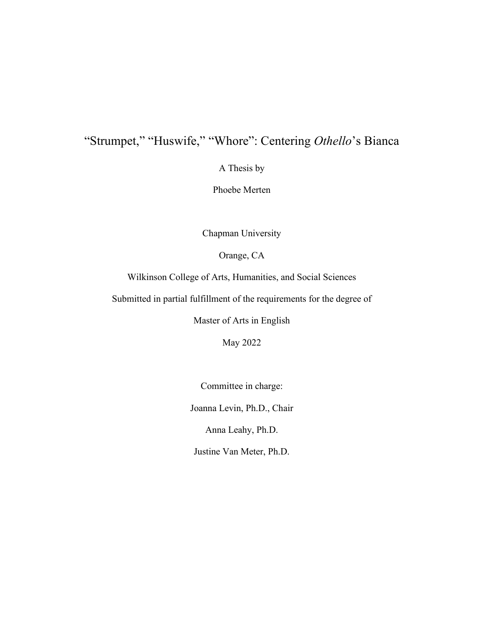# "Strumpet," "Huswife," "Whore": Centering *Othello*'s Bianca

A Thesis by

Phoebe Merten

Chapman University

Orange, CA

Wilkinson College of Arts, Humanities, and Social Sciences

Submitted in partial fulfillment of the requirements for the degree of

Master of Arts in English

May 2022

Committee in charge:

Joanna Levin, Ph.D., Chair

Anna Leahy, Ph.D.

Justine Van Meter, Ph.D.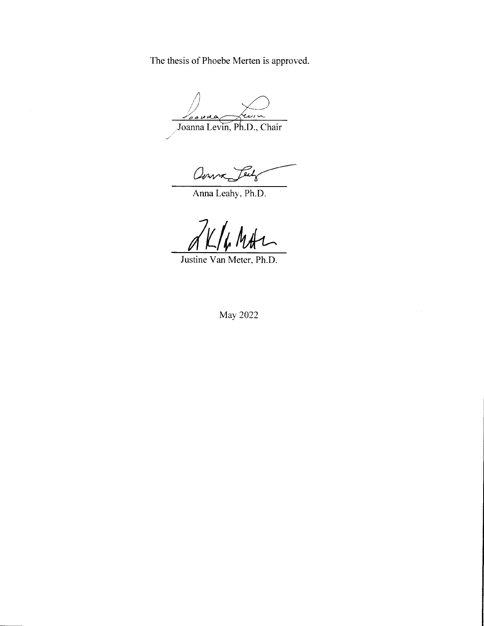The thesis of Phoebe Merten is approved.

sauno سا درد' Joanna Levin, Ph.D., Chair

Over Jeely

Anna Leahy, Ph.D.

K/h Mth

Justine Van Meter, Ph.D.

May 2022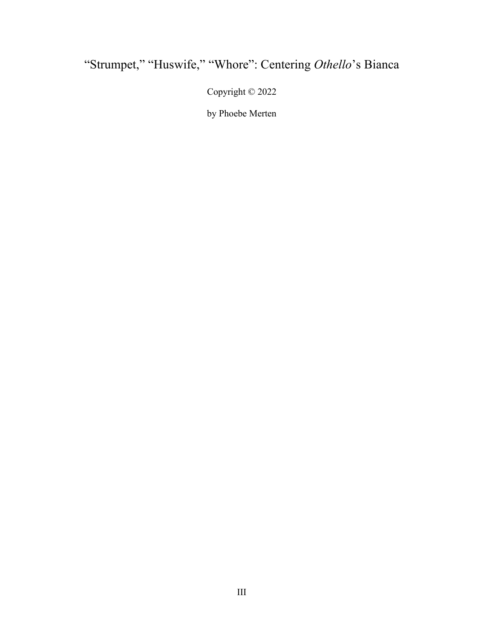# "Strumpet," "Huswife," "Whore": Centering *Othello*'s Bianca

Copyright © 2022

by Phoebe Merten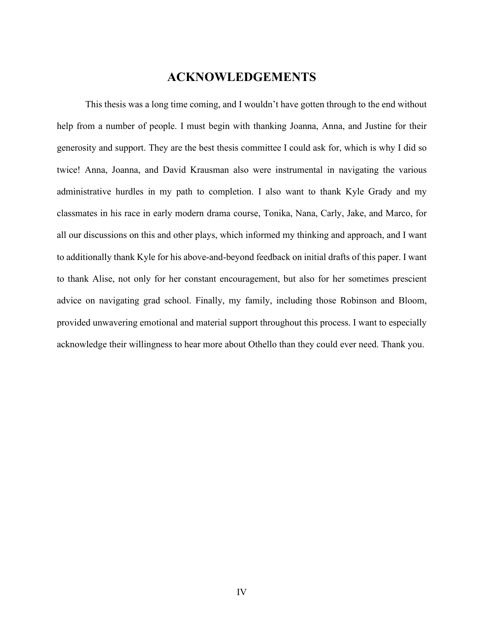## **ACKNOWLEDGEMENTS**

<span id="page-4-0"></span>This thesis was a long time coming, and I wouldn't have gotten through to the end without help from a number of people. I must begin with thanking Joanna, Anna, and Justine for their generosity and support. They are the best thesis committee I could ask for, which is why I did so twice! Anna, Joanna, and David Krausman also were instrumental in navigating the various administrative hurdles in my path to completion. I also want to thank Kyle Grady and my classmates in his race in early modern drama course, Tonika, Nana, Carly, Jake, and Marco, for all our discussions on this and other plays, which informed my thinking and approach, and I want to additionally thank Kyle for his above-and-beyond feedback on initial drafts of this paper. I want to thank Alise, not only for her constant encouragement, but also for her sometimes prescient advice on navigating grad school. Finally, my family, including those Robinson and Bloom, provided unwavering emotional and material support throughout this process. I want to especially acknowledge their willingness to hear more about Othello than they could ever need. Thank you.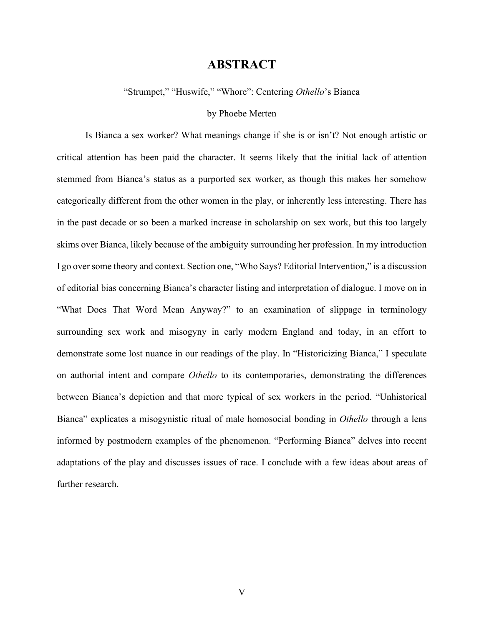### **ABSTRACT**

<span id="page-5-0"></span>"Strumpet," "Huswife," "Whore": Centering *Othello*'s Bianca

#### by Phoebe Merten

Is Bianca a sex worker? What meanings change if she is or isn't? Not enough artistic or critical attention has been paid the character. It seems likely that the initial lack of attention stemmed from Bianca's status as a purported sex worker, as though this makes her somehow categorically different from the other women in the play, or inherently less interesting. There has in the past decade or so been a marked increase in scholarship on sex work, but this too largely skims over Bianca, likely because of the ambiguity surrounding her profession. In my introduction I go over some theory and context. Section one, "Who Says? Editorial Intervention," is a discussion of editorial bias concerning Bianca's character listing and interpretation of dialogue. I move on in "What Does That Word Mean Anyway?" to an examination of slippage in terminology surrounding sex work and misogyny in early modern England and today, in an effort to demonstrate some lost nuance in our readings of the play. In "Historicizing Bianca," I speculate on authorial intent and compare *Othello* to its contemporaries, demonstrating the differences between Bianca's depiction and that more typical of sex workers in the period. "Unhistorical Bianca" explicates a misogynistic ritual of male homosocial bonding in *Othello* through a lens informed by postmodern examples of the phenomenon. "Performing Bianca" delves into recent adaptations of the play and discusses issues of race. I conclude with a few ideas about areas of further research.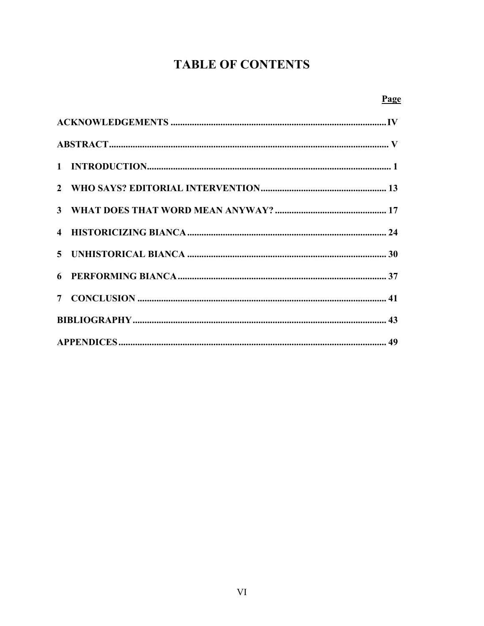# **TABLE OF CONTENTS**

|--|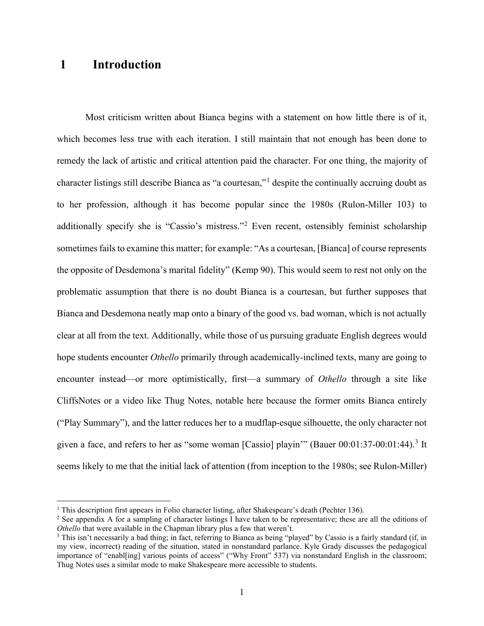## <span id="page-7-0"></span> **1 Introduction**

Most criticism written about Bianca begins with a statement on how little there is of it, which becomes less true with each iteration. I still maintain that not enough has been done to remedy the lack of artistic and critical attention paid the character. For one thing, the majority of character listings still describe Bianca as "a courtesan,"<sup>[1](#page-7-1)</sup> despite the continually accruing doubt as to her profession, although it has become popular since the 1980s (Rulon-Miller 103) to additionally specify she is "Cassio's mistress."<sup>[2](#page-7-2)</sup> Even recent, ostensibly feminist scholarship sometimes fails to examine this matter; for example: "As a courtesan, [Bianca] of course represents the opposite of Desdemona's marital fidelity" (Kemp 90). This would seem to rest not only on the problematic assumption that there is no doubt Bianca is a courtesan, but further supposes that Bianca and Desdemona neatly map onto a binary of the good vs. bad woman, which is not actually clear at all from the text. Additionally, while those of us pursuing graduate English degrees would hope students encounter *Othello* primarily through academically-inclined texts, many are going to encounter instead—or more optimistically, first—a summary of *Othello* through a site like CliffsNotes or a video like Thug Notes, notable here because the former omits Bianca entirely ("Play Summary"), and the latter reduces her to a mudflap-esque silhouette, the only character not given a face, and refers to her as "some woman [Cassio] playin"" (Bauer  $00:01:37-00:01:44$  $00:01:37-00:01:44$  $00:01:37-00:01:44$ ).<sup>3</sup> It seems likely to me that the initial lack of attention (from inception to the 1980s; see Rulon-Miller)

<span id="page-7-1"></span><sup>&</sup>lt;sup>1</sup> This description first appears in Folio character listing, after Shakespeare's death (Pechter 136).

<span id="page-7-2"></span><sup>&</sup>lt;sup>2</sup> See appendix A for a sampling of character listings I have taken to be representative; these are all the editions of *Othello* that were available in the Chapman library plus a few that weren't.

<span id="page-7-3"></span><sup>&</sup>lt;sup>3</sup> This isn't necessarily a bad thing; in fact, referring to Bianca as being "played" by Cassio is a fairly standard (if, in my view, incorrect) reading of the situation, stated in nonstandard parlance. Kyle Grady discusses the pedagogical importance of "enabl[ing] various points of access" ("Why Front" 537) via nonstandard English in the classroom; Thug Notes uses a similar mode to make Shakespeare more accessible to students.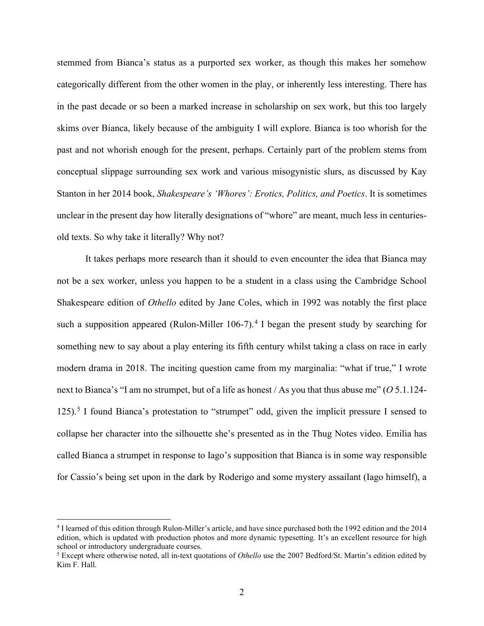stemmed from Bianca's status as a purported sex worker, as though this makes her somehow categorically different from the other women in the play, or inherently less interesting. There has in the past decade or so been a marked increase in scholarship on sex work, but this too largely skims over Bianca, likely because of the ambiguity I will explore. Bianca is too whorish for the past and not whorish enough for the present, perhaps. Certainly part of the problem stems from conceptual slippage surrounding sex work and various misogynistic slurs, as discussed by Kay Stanton in her 2014 book, *Shakespeare's 'Whores': Erotics, Politics, and Poetics*. It is sometimes unclear in the present day how literally designations of "whore" are meant, much less in centuriesold texts. So why take it literally? Why not?

It takes perhaps more research than it should to even encounter the idea that Bianca may not be a sex worker, unless you happen to be a student in a class using the Cambridge School Shakespeare edition of *Othello* edited by Jane Coles, which in 1992 was notably the first place such a supposition appeared (Rulon-Miller  $106-7$ ).<sup>[4](#page-8-0)</sup> I began the present study by searching for something new to say about a play entering its fifth century whilst taking a class on race in early modern drama in 2018. The inciting question came from my marginalia: "what if true," I wrote next to Bianca's "I am no strumpet, but of a life as honest / As you that thus abuse me" (*O* 5.1.124- 12[5](#page-8-1)).<sup>5</sup> I found Bianca's protestation to "strumpet" odd, given the implicit pressure I sensed to collapse her character into the silhouette she's presented as in the Thug Notes video. Emilia has called Bianca a strumpet in response to Iago's supposition that Bianca is in some way responsible for Cassio's being set upon in the dark by Roderigo and some mystery assailant (Iago himself), a

<span id="page-8-0"></span><sup>4</sup> I learned of this edition through Rulon-Miller's article, and have since purchased both the 1992 edition and the 2014 edition, which is updated with production photos and more dynamic typesetting. It's an excellent resource for high school or introductory undergraduate courses.

<span id="page-8-1"></span><sup>5</sup> Except where otherwise noted, all in-text quotations of *Othello* use the 2007 Bedford/St. Martin's edition edited by Kim F. Hall.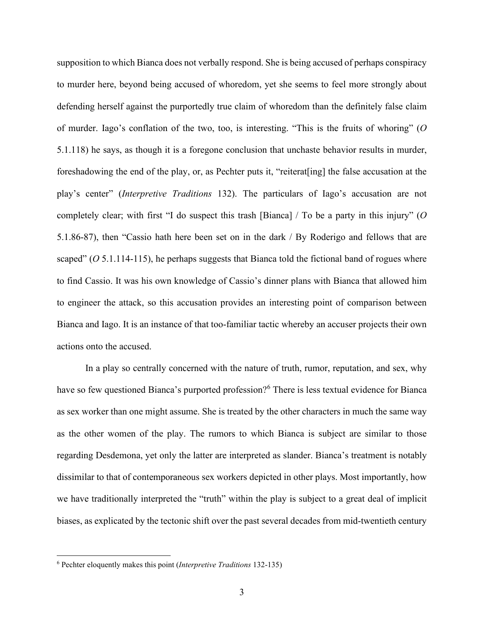supposition to which Bianca does not verbally respond. She is being accused of perhaps conspiracy to murder here, beyond being accused of whoredom, yet she seems to feel more strongly about defending herself against the purportedly true claim of whoredom than the definitely false claim of murder. Iago's conflation of the two, too, is interesting. "This is the fruits of whoring" (*O*  5.1.118) he says, as though it is a foregone conclusion that unchaste behavior results in murder, foreshadowing the end of the play, or, as Pechter puts it, "reiterat[ing] the false accusation at the play's center" (*Interpretive Traditions* 132). The particulars of Iago's accusation are not completely clear; with first "I do suspect this trash [Bianca] / To be a party in this injury" (*O*  5.1.86-87), then "Cassio hath here been set on in the dark / By Roderigo and fellows that are scaped" (*O* 5.1.114-115), he perhaps suggests that Bianca told the fictional band of rogues where to find Cassio. It was his own knowledge of Cassio's dinner plans with Bianca that allowed him to engineer the attack, so this accusation provides an interesting point of comparison between Bianca and Iago. It is an instance of that too-familiar tactic whereby an accuser projects their own actions onto the accused.

In a play so centrally concerned with the nature of truth, rumor, reputation, and sex, why have so few questioned Bianca's purported profession?<sup>[6](#page-9-0)</sup> There is less textual evidence for Bianca as sex worker than one might assume. She is treated by the other characters in much the same way as the other women of the play. The rumors to which Bianca is subject are similar to those regarding Desdemona, yet only the latter are interpreted as slander. Bianca's treatment is notably dissimilar to that of contemporaneous sex workers depicted in other plays. Most importantly, how we have traditionally interpreted the "truth" within the play is subject to a great deal of implicit biases, as explicated by the tectonic shift over the past several decades from mid-twentieth century

<span id="page-9-0"></span><sup>6</sup> Pechter eloquently makes this point (*Interpretive Traditions* 132-135)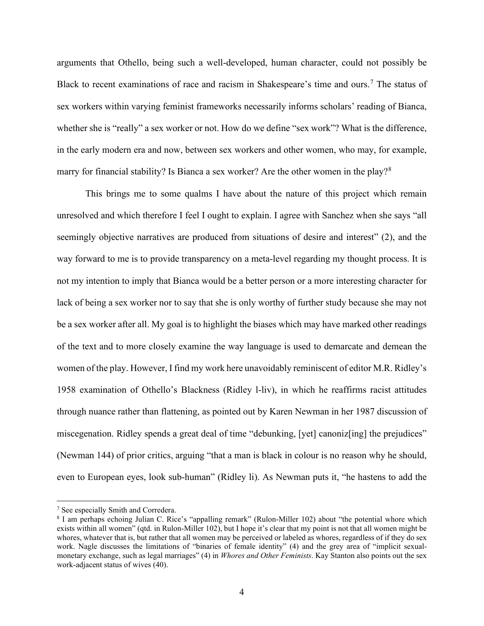arguments that Othello, being such a well-developed, human character, could not possibly be Black to recent examinations of race and racism in Shakespeare's time and ours.<sup>[7](#page-10-0)</sup> The status of sex workers within varying feminist frameworks necessarily informs scholars' reading of Bianca, whether she is "really" a sex worker or not. How do we define "sex work"? What is the difference, in the early modern era and now, between sex workers and other women, who may, for example, marry for financial stability? Is Bianca a sex worker? Are the other women in the play?<sup>[8](#page-10-1)</sup>

This brings me to some qualms I have about the nature of this project which remain unresolved and which therefore I feel I ought to explain. I agree with Sanchez when she says "all seemingly objective narratives are produced from situations of desire and interest" (2), and the way forward to me is to provide transparency on a meta-level regarding my thought process. It is not my intention to imply that Bianca would be a better person or a more interesting character for lack of being a sex worker nor to say that she is only worthy of further study because she may not be a sex worker after all. My goal is to highlight the biases which may have marked other readings of the text and to more closely examine the way language is used to demarcate and demean the women of the play. However, I find my work here unavoidably reminiscent of editor M.R. Ridley's 1958 examination of Othello's Blackness (Ridley l-liv), in which he reaffirms racist attitudes through nuance rather than flattening, as pointed out by Karen Newman in her 1987 discussion of miscegenation. Ridley spends a great deal of time "debunking, [yet] canoniz[ing] the prejudices" (Newman 144) of prior critics, arguing "that a man is black in colour is no reason why he should, even to European eyes, look sub-human" (Ridley li). As Newman puts it, "he hastens to add the

<span id="page-10-0"></span><sup>7</sup> See especially Smith and Corredera.

<span id="page-10-1"></span><sup>8</sup> I am perhaps echoing Julian C. Rice's "appalling remark" (Rulon-Miller 102) about "the potential whore which exists within all women" (qtd. in Rulon-Miller 102), but I hope it's clear that my point is not that all women might be whores, whatever that is, but rather that all women may be perceived or labeled as whores, regardless of if they do sex work. Nagle discusses the limitations of "binaries of female identity" (4) and the grey area of "implicit sexualmonetary exchange, such as legal marriages" (4) in *Whores and Other Feminists*. Kay Stanton also points out the sex work-adjacent status of wives (40).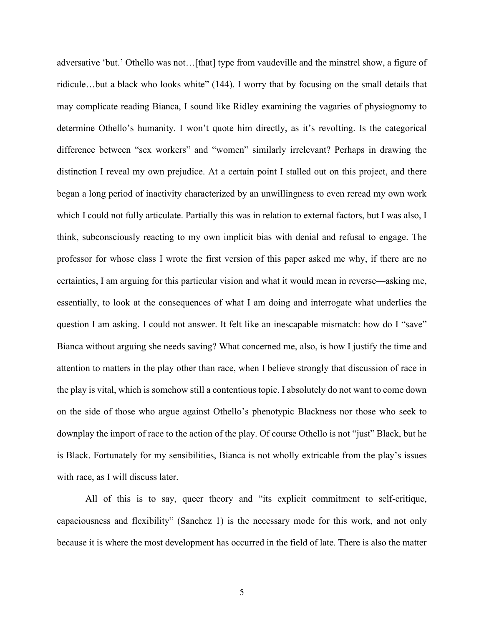adversative 'but.' Othello was not…[that] type from vaudeville and the minstrel show, a figure of ridicule…but a black who looks white" (144). I worry that by focusing on the small details that may complicate reading Bianca, I sound like Ridley examining the vagaries of physiognomy to determine Othello's humanity. I won't quote him directly, as it's revolting. Is the categorical difference between "sex workers" and "women" similarly irrelevant? Perhaps in drawing the distinction I reveal my own prejudice. At a certain point I stalled out on this project, and there began a long period of inactivity characterized by an unwillingness to even reread my own work which I could not fully articulate. Partially this was in relation to external factors, but I was also, I think, subconsciously reacting to my own implicit bias with denial and refusal to engage. The professor for whose class I wrote the first version of this paper asked me why, if there are no certainties, I am arguing for this particular vision and what it would mean in reverse—asking me, essentially, to look at the consequences of what I am doing and interrogate what underlies the question I am asking. I could not answer. It felt like an inescapable mismatch: how do I "save" Bianca without arguing she needs saving? What concerned me, also, is how I justify the time and attention to matters in the play other than race, when I believe strongly that discussion of race in the play is vital, which is somehow still a contentious topic. I absolutely do not want to come down on the side of those who argue against Othello's phenotypic Blackness nor those who seek to downplay the import of race to the action of the play. Of course Othello is not "just" Black, but he is Black. Fortunately for my sensibilities, Bianca is not wholly extricable from the play's issues with race, as I will discuss later.

All of this is to say, queer theory and "its explicit commitment to self-critique, capaciousness and flexibility" (Sanchez 1) is the necessary mode for this work, and not only because it is where the most development has occurred in the field of late. There is also the matter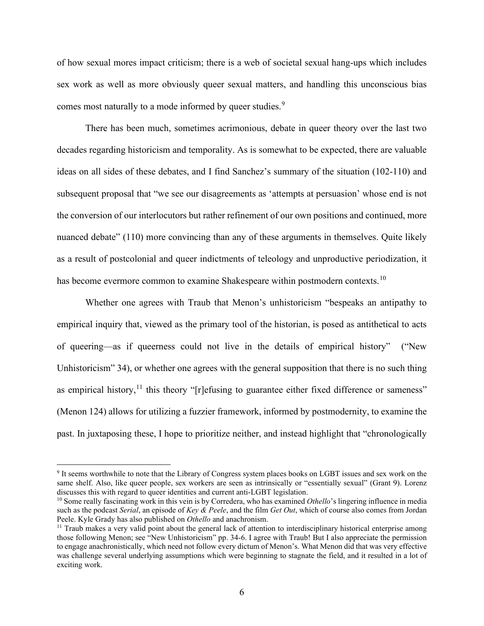of how sexual mores impact criticism; there is a web of societal sexual hang-ups which includes sex work as well as more obviously queer sexual matters, and handling this unconscious bias comes most naturally to a mode informed by queer studies.<sup>[9](#page-12-0)</sup>

There has been much, sometimes acrimonious, debate in queer theory over the last two decades regarding historicism and temporality. As is somewhat to be expected, there are valuable ideas on all sides of these debates, and I find Sanchez's summary of the situation (102-110) and subsequent proposal that "we see our disagreements as 'attempts at persuasion' whose end is not the conversion of our interlocutors but rather refinement of our own positions and continued, more nuanced debate" (110) more convincing than any of these arguments in themselves. Quite likely as a result of postcolonial and queer indictments of teleology and unproductive periodization, it has become evermore common to examine Shakespeare within postmodern contexts.<sup>[10](#page-12-1)</sup>

Whether one agrees with Traub that Menon's unhistoricism "bespeaks an antipathy to empirical inquiry that, viewed as the primary tool of the historian, is posed as antithetical to acts of queering—as if queerness could not live in the details of empirical history" ("New Unhistoricism" 34), or whether one agrees with the general supposition that there is no such thing as empirical history,<sup>[11](#page-12-2)</sup> this theory "[r]efusing to guarantee either fixed difference or sameness" (Menon 124) allows for utilizing a fuzzier framework, informed by postmodernity, to examine the past. In juxtaposing these, I hope to prioritize neither, and instead highlight that "chronologically

<span id="page-12-0"></span><sup>9</sup> It seems worthwhile to note that the Library of Congress system places books on LGBT issues and sex work on the same shelf. Also, like queer people, sex workers are seen as intrinsically or "essentially sexual" (Grant 9). Lorenz discusses this with regard to queer identities and current anti-LGBT legislation.

<span id="page-12-1"></span><sup>&</sup>lt;sup>10</sup> Some really fascinating work in this vein is by Corredera, who has examined *Othello*'s lingering influence in media such as the podcast *Serial*, an episode of *Key & Peele*, and the film *Get Out*, which of course also comes from Jordan Peele. Kyle Grady has also published on *Othello* and anachronism.

<span id="page-12-2"></span> $<sup>11</sup>$  Traub makes a very valid point about the general lack of attention to interdisciplinary historical enterprise among</sup> those following Menon; see "New Unhistoricism" pp. 34-6. I agree with Traub! But I also appreciate the permission to engage anachronistically, which need not follow every dictum of Menon's. What Menon did that was very effective was challenge several underlying assumptions which were beginning to stagnate the field, and it resulted in a lot of exciting work.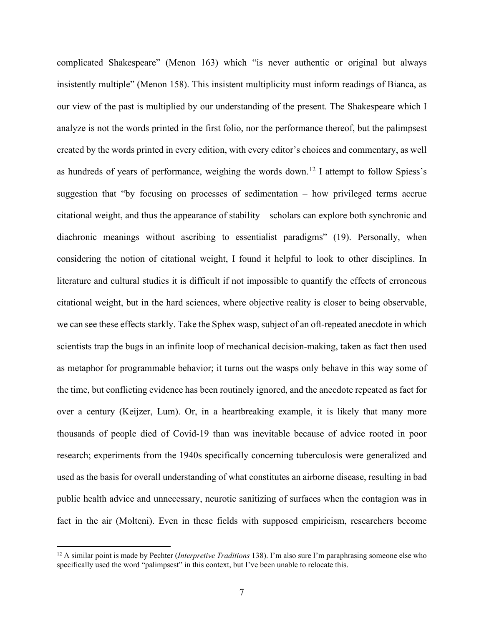complicated Shakespeare" (Menon 163) which "is never authentic or original but always insistently multiple" (Menon 158). This insistent multiplicity must inform readings of Bianca, as our view of the past is multiplied by our understanding of the present. The Shakespeare which I analyze is not the words printed in the first folio, nor the performance thereof, but the palimpsest created by the words printed in every edition, with every editor's choices and commentary, as well as hundreds of years of performance, weighing the words down.<sup>[12](#page-13-0)</sup> I attempt to follow Spiess's suggestion that "by focusing on processes of sedimentation – how privileged terms accrue citational weight, and thus the appearance of stability – scholars can explore both synchronic and diachronic meanings without ascribing to essentialist paradigms" (19). Personally, when considering the notion of citational weight, I found it helpful to look to other disciplines. In literature and cultural studies it is difficult if not impossible to quantify the effects of erroneous citational weight, but in the hard sciences, where objective reality is closer to being observable, we can see these effects starkly. Take the Sphex wasp, subject of an oft-repeated anecdote in which scientists trap the bugs in an infinite loop of mechanical decision-making, taken as fact then used as metaphor for programmable behavior; it turns out the wasps only behave in this way some of the time, but conflicting evidence has been routinely ignored, and the anecdote repeated as fact for over a century (Keijzer, Lum). Or, in a heartbreaking example, it is likely that many more thousands of people died of Covid-19 than was inevitable because of advice rooted in poor research; experiments from the 1940s specifically concerning tuberculosis were generalized and used as the basis for overall understanding of what constitutes an airborne disease, resulting in bad public health advice and unnecessary, neurotic sanitizing of surfaces when the contagion was in fact in the air (Molteni). Even in these fields with supposed empiricism, researchers become

<span id="page-13-0"></span><sup>12</sup> A similar point is made by Pechter (*Interpretive Traditions* 138). I'm also sure I'm paraphrasing someone else who specifically used the word "palimpsest" in this context, but I've been unable to relocate this.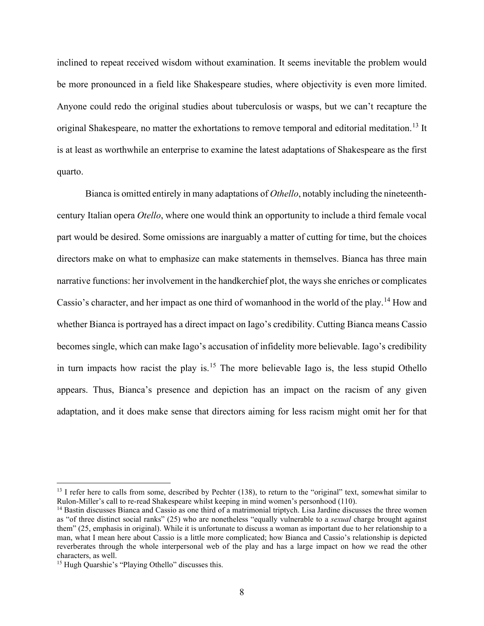inclined to repeat received wisdom without examination. It seems inevitable the problem would be more pronounced in a field like Shakespeare studies, where objectivity is even more limited. Anyone could redo the original studies about tuberculosis or wasps, but we can't recapture the original Shakespeare, no matter the exhortations to remove temporal and editorial meditation.<sup>[13](#page-14-0)</sup> It is at least as worthwhile an enterprise to examine the latest adaptations of Shakespeare as the first quarto.

Bianca is omitted entirely in many adaptations of *Othello*, notably including the nineteenthcentury Italian opera *Otello*, where one would think an opportunity to include a third female vocal part would be desired. Some omissions are inarguably a matter of cutting for time, but the choices directors make on what to emphasize can make statements in themselves. Bianca has three main narrative functions: her involvement in the handkerchief plot, the ways she enriches or complicates Cassio's character, and her impact as one third of womanhood in the world of the play.<sup>[14](#page-14-1)</sup> How and whether Bianca is portrayed has a direct impact on Iago's credibility. Cutting Bianca means Cassio becomes single, which can make Iago's accusation of infidelity more believable. Iago's credibility in turn impacts how racist the play is.<sup>[15](#page-14-2)</sup> The more believable Iago is, the less stupid Othello appears. Thus, Bianca's presence and depiction has an impact on the racism of any given adaptation, and it does make sense that directors aiming for less racism might omit her for that

<span id="page-14-0"></span> $13$  I refer here to calls from some, described by Pechter (138), to return to the "original" text, somewhat similar to Rulon-Miller's call to re-read Shakespeare whilst keeping in mind women's personhood (110).

<span id="page-14-1"></span><sup>&</sup>lt;sup>14</sup> Bastin discusses Bianca and Cassio as one third of a matrimonial triptych. Lisa Jardine discusses the three women as "of three distinct social ranks" (25) who are nonetheless "equally vulnerable to a *sexual* charge brought against them" (25, emphasis in original). While it is unfortunate to discuss a woman as important due to her relationship to a man, what I mean here about Cassio is a little more complicated; how Bianca and Cassio's relationship is depicted reverberates through the whole interpersonal web of the play and has a large impact on how we read the other characters, as well.

<span id="page-14-2"></span><sup>&</sup>lt;sup>15</sup> Hugh Quarshie's "Playing Othello" discusses this.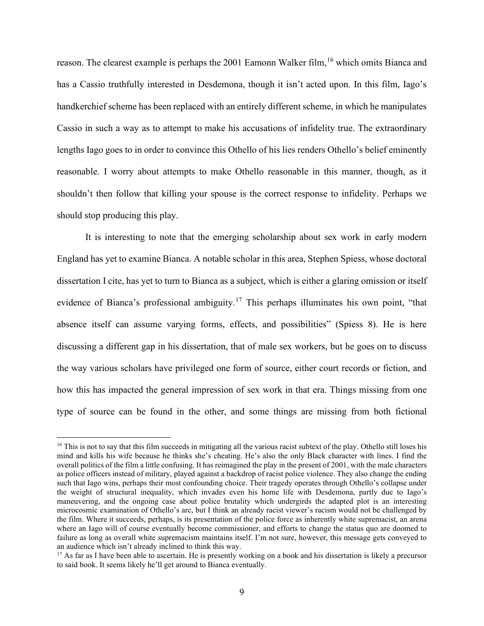reason. The clearest example is perhaps the 2001 Eamonn Walker film, <sup>[16](#page-15-0)</sup> which omits Bianca and has a Cassio truthfully interested in Desdemona, though it isn't acted upon. In this film, Iago's handkerchief scheme has been replaced with an entirely different scheme, in which he manipulates Cassio in such a way as to attempt to make his accusations of infidelity true. The extraordinary lengths Iago goes to in order to convince this Othello of his lies renders Othello's belief eminently reasonable. I worry about attempts to make Othello reasonable in this manner, though, as it shouldn't then follow that killing your spouse is the correct response to infidelity. Perhaps we should stop producing this play.

It is interesting to note that the emerging scholarship about sex work in early modern England has yet to examine Bianca. A notable scholar in this area, Stephen Spiess, whose doctoral dissertation I cite, has yet to turn to Bianca as a subject, which is either a glaring omission or itself evidence of Bianca's professional ambiguity.<sup>[17](#page-15-1)</sup> This perhaps illuminates his own point, "that absence itself can assume varying forms, effects, and possibilities" (Spiess 8). He is here discussing a different gap in his dissertation, that of male sex workers, but he goes on to discuss the way various scholars have privileged one form of source, either court records or fiction, and how this has impacted the general impression of sex work in that era. Things missing from one type of source can be found in the other, and some things are missing from both fictional

<span id="page-15-0"></span><sup>&</sup>lt;sup>16</sup> This is not to say that this film succeeds in mitigating all the various racist subtext of the play. Othello still loses his mind and kills his wife because he thinks she's cheating. He's also the only Black character with lines. I find the overall politics of the film a little confusing. It has reimagined the play in the present of 2001, with the male characters as police officers instead of military, played against a backdrop of racist police violence. They also change the ending such that Iago wins, perhaps their most confounding choice. Their tragedy operates through Othello's collapse under the weight of structural inequality, which invades even his home life with Desdemona, partly due to Iago's maneuvering, and the ongoing case about police brutality which undergirds the adapted plot is an interesting microcosmic examination of Othello's arc, but I think an already racist viewer's racism would not be challenged by the film. Where it succeeds, perhaps, is its presentation of the police force as inherently white supremacist, an arena where an Iago will of course eventually become commissioner, and efforts to change the status quo are doomed to failure as long as overall white supremacism maintains itself. I'm not sure, however, this message gets conveyed to an audience which isn't already inclined to think this way.

<span id="page-15-1"></span> $17$  As far as I have been able to ascertain. He is presently working on a book and his dissertation is likely a precursor to said book. It seems likely he'll get around to Bianca eventually.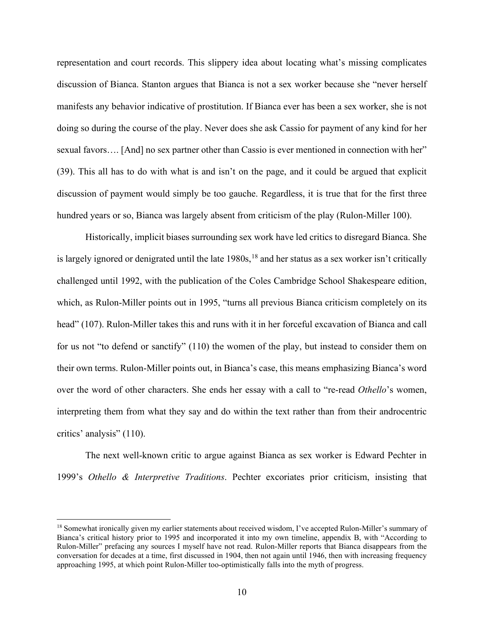representation and court records. This slippery idea about locating what's missing complicates discussion of Bianca. Stanton argues that Bianca is not a sex worker because she "never herself manifests any behavior indicative of prostitution. If Bianca ever has been a sex worker, she is not doing so during the course of the play. Never does she ask Cassio for payment of any kind for her sexual favors.... [And] no sex partner other than Cassio is ever mentioned in connection with her" (39). This all has to do with what is and isn't on the page, and it could be argued that explicit discussion of payment would simply be too gauche. Regardless, it is true that for the first three hundred years or so, Bianca was largely absent from criticism of the play (Rulon-Miller 100).

Historically, implicit biases surrounding sex work have led critics to disregard Bianca. She is largely ignored or denigrated until the late  $1980s$ ,<sup>[18](#page-16-0)</sup> and her status as a sex worker isn't critically challenged until 1992, with the publication of the Coles Cambridge School Shakespeare edition, which, as Rulon-Miller points out in 1995, "turns all previous Bianca criticism completely on its head" (107). Rulon-Miller takes this and runs with it in her forceful excavation of Bianca and call for us not "to defend or sanctify" (110) the women of the play, but instead to consider them on their own terms. Rulon-Miller points out, in Bianca's case, this means emphasizing Bianca's word over the word of other characters. She ends her essay with a call to "re-read *Othello*'s women, interpreting them from what they say and do within the text rather than from their androcentric critics' analysis" (110).

The next well-known critic to argue against Bianca as sex worker is Edward Pechter in 1999's *Othello & Interpretive Traditions*. Pechter excoriates prior criticism, insisting that

<span id="page-16-0"></span><sup>&</sup>lt;sup>18</sup> Somewhat ironically given my earlier statements about received wisdom, I've accepted Rulon-Miller's summary of Bianca's critical history prior to 1995 and incorporated it into my own timeline, appendix B, with "According to Rulon-Miller" prefacing any sources I myself have not read. Rulon-Miller reports that Bianca disappears from the conversation for decades at a time, first discussed in 1904, then not again until 1946, then with increasing frequency approaching 1995, at which point Rulon-Miller too-optimistically falls into the myth of progress.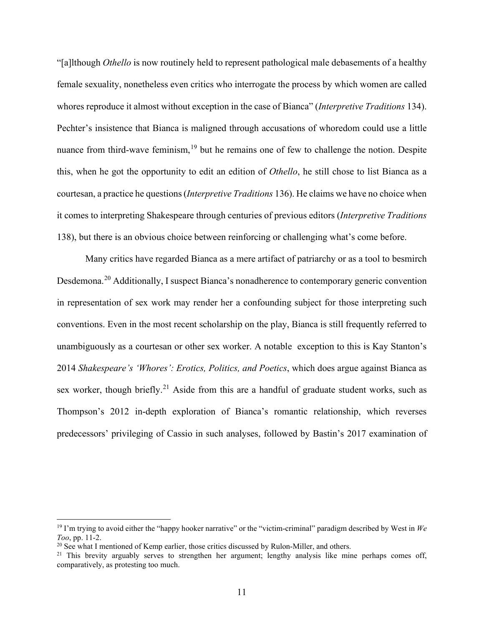"[a]lthough *Othello* is now routinely held to represent pathological male debasements of a healthy female sexuality, nonetheless even critics who interrogate the process by which women are called whores reproduce it almost without exception in the case of Bianca" (*Interpretive Traditions* 134). Pechter's insistence that Bianca is maligned through accusations of whoredom could use a little nuance from third-wave feminism,<sup>[19](#page-17-0)</sup> but he remains one of few to challenge the notion. Despite this, when he got the opportunity to edit an edition of *Othello*, he still chose to list Bianca as a courtesan, a practice he questions (*Interpretive Traditions* 136). He claims we have no choice when it comes to interpreting Shakespeare through centuries of previous editors (*Interpretive Traditions*  138), but there is an obvious choice between reinforcing or challenging what's come before.

Many critics have regarded Bianca as a mere artifact of patriarchy or as a tool to besmirch Desdemona.[20](#page-17-1) Additionally, I suspect Bianca's nonadherence to contemporary generic convention in representation of sex work may render her a confounding subject for those interpreting such conventions. Even in the most recent scholarship on the play, Bianca is still frequently referred to unambiguously as a courtesan or other sex worker. A notable exception to this is Kay Stanton's 2014 *Shakespeare's 'Whores': Erotics, Politics, and Poetics*, which does argue against Bianca as sex worker, though briefly.<sup>[21](#page-17-2)</sup> Aside from this are a handful of graduate student works, such as Thompson's 2012 in-depth exploration of Bianca's romantic relationship, which reverses predecessors' privileging of Cassio in such analyses, followed by Bastin's 2017 examination of

<span id="page-17-0"></span><sup>&</sup>lt;sup>19</sup> I'm trying to avoid either the "happy hooker narrative" or the "victim-criminal" paradigm described by West in  $We$ *Too*, pp. 11-2.

<span id="page-17-1"></span><sup>&</sup>lt;sup>20</sup> See what I mentioned of Kemp earlier, those critics discussed by Rulon-Miller, and others.

<span id="page-17-2"></span><sup>&</sup>lt;sup>21</sup> This brevity arguably serves to strengthen her argument; lengthy analysis like mine perhaps comes off, comparatively, as protesting too much.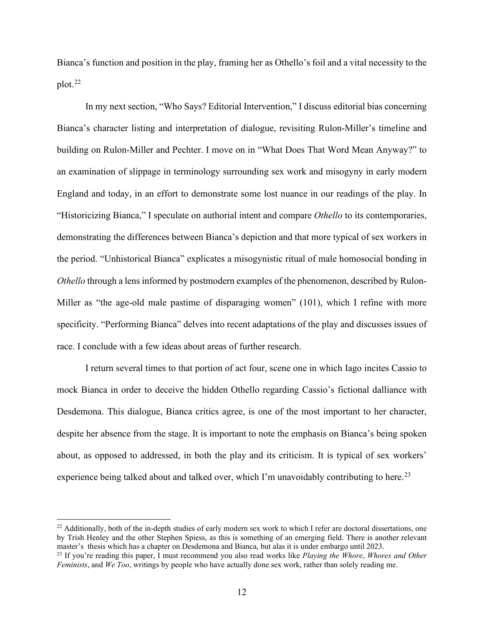Bianca's function and position in the play, framing her as Othello's foil and a vital necessity to the  $plot.<sup>22</sup>$  $plot.<sup>22</sup>$  $plot.<sup>22</sup>$ 

In my next section, "Who Says? Editorial Intervention," I discuss editorial bias concerning Bianca's character listing and interpretation of dialogue, revisiting Rulon-Miller's timeline and building on Rulon-Miller and Pechter. I move on in "What Does That Word Mean Anyway?" to an examination of slippage in terminology surrounding sex work and misogyny in early modern England and today, in an effort to demonstrate some lost nuance in our readings of the play. In "Historicizing Bianca," I speculate on authorial intent and compare *Othello* to its contemporaries, demonstrating the differences between Bianca's depiction and that more typical of sex workers in the period. "Unhistorical Bianca" explicates a misogynistic ritual of male homosocial bonding in *Othello* through a lens informed by postmodern examples of the phenomenon, described by Rulon-Miller as "the age-old male pastime of disparaging women" (101), which I refine with more specificity. "Performing Bianca" delves into recent adaptations of the play and discusses issues of race. I conclude with a few ideas about areas of further research.

I return several times to that portion of act four, scene one in which Iago incites Cassio to mock Bianca in order to deceive the hidden Othello regarding Cassio's fictional dalliance with Desdemona. This dialogue, Bianca critics agree, is one of the most important to her character, despite her absence from the stage. It is important to note the emphasis on Bianca's being spoken about, as opposed to addressed, in both the play and its criticism. It is typical of sex workers' experience being talked about and talked over, which I'm unavoidably contributing to here.<sup>[23](#page-18-1)</sup>

<span id="page-18-0"></span> $^{22}$  Additionally, both of the in-depth studies of early modern sex work to which I refer are doctoral dissertations, one by Trish Henley and the other Stephen Spiess, as this is something of an emerging field. There is another relevant master's thesis which has a chapter on Desdemona and Bianca, but alas it is under embargo until 2023.

<span id="page-18-1"></span><sup>23</sup> If you're reading this paper, I must recommend you also read works like *Playing the Whore*, *Whores and Other Feminists*, and *We Too*, writings by people who have actually done sex work, rather than solely reading me.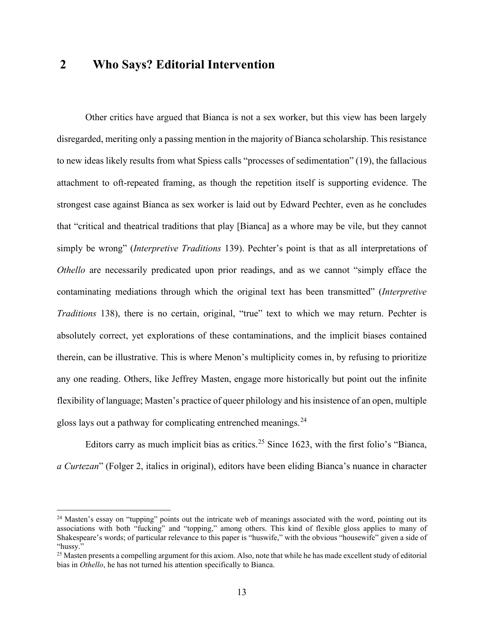#### <span id="page-19-0"></span>**2 Who Says? Editorial Intervention**

Other critics have argued that Bianca is not a sex worker, but this view has been largely disregarded, meriting only a passing mention in the majority of Bianca scholarship. This resistance to new ideas likely results from what Spiess calls "processes of sedimentation" (19), the fallacious attachment to oft-repeated framing, as though the repetition itself is supporting evidence. The strongest case against Bianca as sex worker is laid out by Edward Pechter, even as he concludes that "critical and theatrical traditions that play [Bianca] as a whore may be vile, but they cannot simply be wrong" (*Interpretive Traditions* 139). Pechter's point is that as all interpretations of *Othello* are necessarily predicated upon prior readings, and as we cannot "simply efface the contaminating mediations through which the original text has been transmitted" (*Interpretive Traditions* 138), there is no certain, original, "true" text to which we may return. Pechter is absolutely correct, yet explorations of these contaminations, and the implicit biases contained therein, can be illustrative. This is where Menon's multiplicity comes in, by refusing to prioritize any one reading. Others, like Jeffrey Masten, engage more historically but point out the infinite flexibility of language; Masten's practice of queer philology and his insistence of an open, multiple gloss lays out a pathway for complicating entrenched meanings.<sup>[24](#page-19-1)</sup>

Editors carry as much implicit bias as critics.<sup>[25](#page-19-2)</sup> Since 1623, with the first folio's "Bianca, *a Curtezan*" (Folger 2, italics in original), editors have been eliding Bianca's nuance in character

<span id="page-19-1"></span> $24$  Masten's essay on "tupping" points out the intricate web of meanings associated with the word, pointing out its associations with both "fucking" and "topping," among others. This kind of flexible gloss applies to many of Shakespeare's words; of particular relevance to this paper is "huswife," with the obvious "housewife" given a side of "hussy."

<span id="page-19-2"></span><sup>&</sup>lt;sup>25</sup> Masten presents a compelling argument for this axiom. Also, note that while he has made excellent study of editorial bias in *Othello*, he has not turned his attention specifically to Bianca.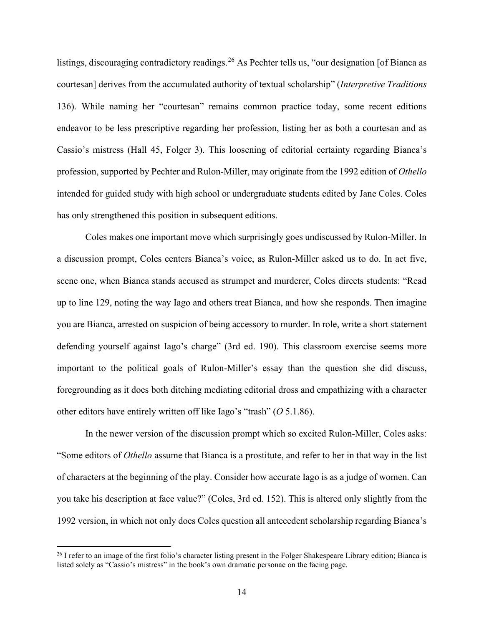listings, discouraging contradictory readings.<sup>[26](#page-20-0)</sup> As Pechter tells us, "our designation [of Bianca as courtesan] derives from the accumulated authority of textual scholarship" (*Interpretive Traditions*  136). While naming her "courtesan" remains common practice today, some recent editions endeavor to be less prescriptive regarding her profession, listing her as both a courtesan and as Cassio's mistress (Hall 45, Folger 3). This loosening of editorial certainty regarding Bianca's profession, supported by Pechter and Rulon-Miller, may originate from the 1992 edition of *Othello* intended for guided study with high school or undergraduate students edited by Jane Coles. Coles has only strengthened this position in subsequent editions.

Coles makes one important move which surprisingly goes undiscussed by Rulon-Miller. In a discussion prompt, Coles centers Bianca's voice, as Rulon-Miller asked us to do. In act five, scene one, when Bianca stands accused as strumpet and murderer, Coles directs students: "Read up to line 129, noting the way Iago and others treat Bianca, and how she responds. Then imagine you are Bianca, arrested on suspicion of being accessory to murder. In role, write a short statement defending yourself against Iago's charge" (3rd ed. 190). This classroom exercise seems more important to the political goals of Rulon-Miller's essay than the question she did discuss, foregrounding as it does both ditching mediating editorial dross and empathizing with a character other editors have entirely written off like Iago's "trash" (*O* 5.1.86).

In the newer version of the discussion prompt which so excited Rulon-Miller, Coles asks: "Some editors of *Othello* assume that Bianca is a prostitute, and refer to her in that way in the list of characters at the beginning of the play. Consider how accurate Iago is as a judge of women. Can you take his description at face value?" (Coles, 3rd ed. 152). This is altered only slightly from the 1992 version, in which not only does Coles question all antecedent scholarship regarding Bianca's

<span id="page-20-0"></span><sup>&</sup>lt;sup>26</sup> I refer to an image of the first folio's character listing present in the Folger Shakespeare Library edition; Bianca is listed solely as "Cassio's mistress" in the book's own dramatic personae on the facing page.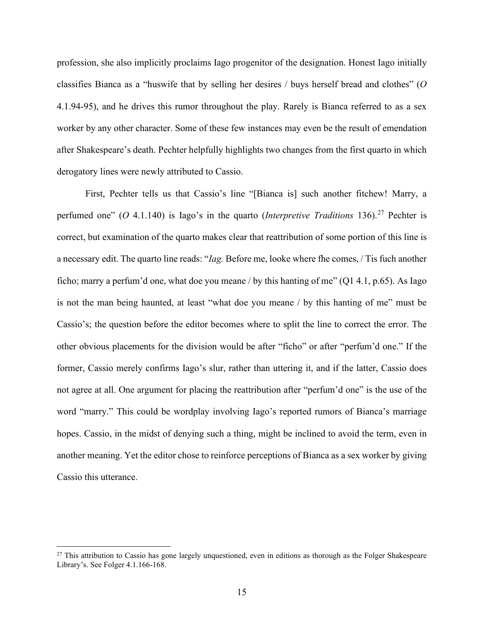profession, she also implicitly proclaims Iago progenitor of the designation. Honest Iago initially classifies Bianca as a "huswife that by selling her desires / buys herself bread and clothes" (*O*  4.1.94-95), and he drives this rumor throughout the play. Rarely is Bianca referred to as a sex worker by any other character. Some of these few instances may even be the result of emendation after Shakespeare's death. Pechter helpfully highlights two changes from the first quarto in which derogatory lines were newly attributed to Cassio.

First, Pechter tells us that Cassio's line "[Bianca is] such another fitchew! Marry, a perfumed one" (*O* 4.1.140) is Iago's in the quarto (*Interpretive Traditions* 136).<sup>[27](#page-21-0)</sup> Pechter is correct, but examination of the quarto makes clear that reattribution of some portion of this line is a necessary edit. The quarto line reads: "*Iag.* Before me, looke where fhe comes, / Tis fuch another ficho; marry a perfum'd one, what doe you meane / by this hanting of me"  $(Q1 4.1, p.65)$ . As Iago is not the man being haunted, at least "what doe you meane / by this hanting of me" must be Cassio's; the question before the editor becomes where to split the line to correct the error. The other obvious placements for the division would be after "ficho" or after "perfum'd one." If the former, Cassio merely confirms Iago's slur, rather than uttering it, and if the latter, Cassio does not agree at all. One argument for placing the reattribution after "perfum'd one" is the use of the word "marry." This could be wordplay involving Iago's reported rumors of Bianca's marriage hopes. Cassio, in the midst of denying such a thing, might be inclined to avoid the term, even in another meaning. Yet the editor chose to reinforce perceptions of Bianca as a sex worker by giving Cassio this utterance.

<span id="page-21-0"></span> $27$  This attribution to Cassio has gone largely unquestioned, even in editions as thorough as the Folger Shakespeare Library's. See Folger 4.1.166-168.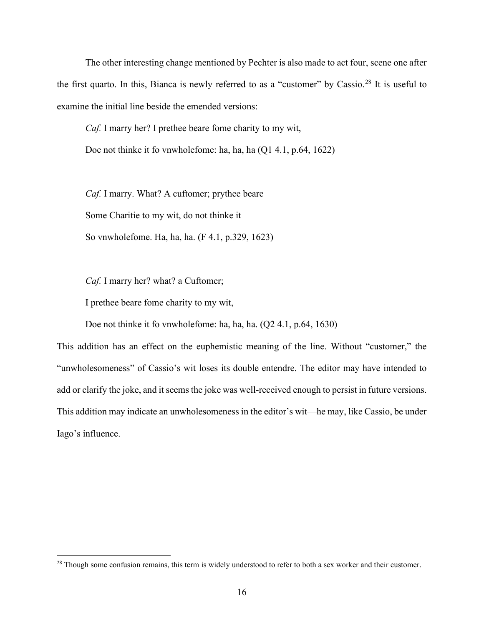The other interesting change mentioned by Pechter is also made to act four, scene one after the first quarto. In this, Bianca is newly referred to as a "customer" by Cassio.<sup>[28](#page-22-0)</sup> It is useful to examine the initial line beside the emended versions:

*Caf.* I marry her? I prethee beare fome charity to my wit,

Doe not thinke it fo vnwholefome: ha, ha, ha (Q1 4.1, p.64, 1622)

*Caf.* I marry. What? A cuftomer; prythee beare Some Charitie to my wit, do not thinke it So vnwholefome. Ha, ha, ha. (F 4.1, p.329, 1623)

*Caf.* I marry her? what? a Cuftomer;

I prethee beare fome charity to my wit,

Doe not thinke it fo vnwholefome: ha, ha, ha. (Q2 4.1, p.64, 1630)

This addition has an effect on the euphemistic meaning of the line. Without "customer," the "unwholesomeness" of Cassio's wit loses its double entendre. The editor may have intended to add or clarify the joke, and it seems the joke was well-received enough to persist in future versions. This addition may indicate an unwholesomeness in the editor's wit—he may, like Cassio, be under Iago's influence.

<span id="page-22-0"></span><sup>&</sup>lt;sup>28</sup> Though some confusion remains, this term is widely understood to refer to both a sex worker and their customer.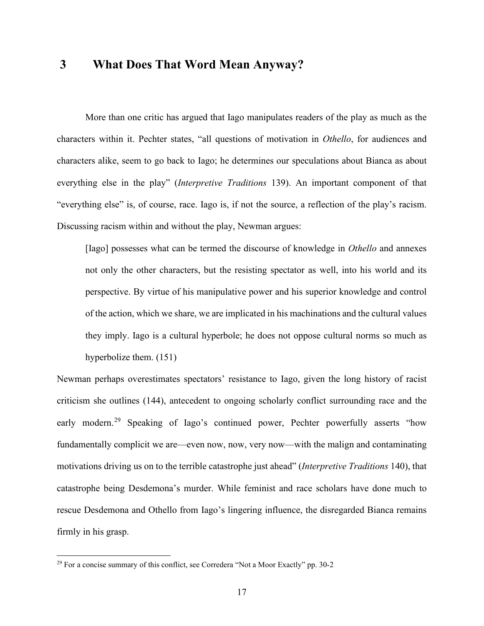#### <span id="page-23-0"></span>**3 What Does That Word Mean Anyway?**

More than one critic has argued that Iago manipulates readers of the play as much as the characters within it. Pechter states, "all questions of motivation in *Othello*, for audiences and characters alike, seem to go back to Iago; he determines our speculations about Bianca as about everything else in the play" (*Interpretive Traditions* 139). An important component of that "everything else" is, of course, race. Iago is, if not the source, a reflection of the play's racism. Discussing racism within and without the play, Newman argues:

[Iago] possesses what can be termed the discourse of knowledge in *Othello* and annexes not only the other characters, but the resisting spectator as well, into his world and its perspective. By virtue of his manipulative power and his superior knowledge and control of the action, which we share, we are implicated in his machinations and the cultural values they imply. Iago is a cultural hyperbole; he does not oppose cultural norms so much as hyperbolize them. (151)

Newman perhaps overestimates spectators' resistance to Iago, given the long history of racist criticism she outlines (144), antecedent to ongoing scholarly conflict surrounding race and the early modern.<sup>[29](#page-23-1)</sup> Speaking of Iago's continued power, Pechter powerfully asserts "how fundamentally complicit we are—even now, now, very now—with the malign and contaminating motivations driving us on to the terrible catastrophe just ahead" (*Interpretive Traditions* 140), that catastrophe being Desdemona's murder. While feminist and race scholars have done much to rescue Desdemona and Othello from Iago's lingering influence, the disregarded Bianca remains firmly in his grasp.

<span id="page-23-1"></span><sup>&</sup>lt;sup>29</sup> For a concise summary of this conflict, see Corredera "Not a Moor Exactly" pp. 30-2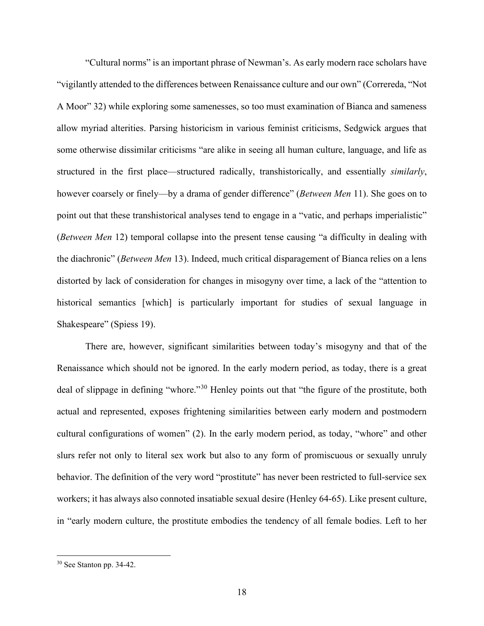"Cultural norms" is an important phrase of Newman's. As early modern race scholars have "vigilantly attended to the differences between Renaissance culture and our own" (Correreda, "Not A Moor" 32) while exploring some samenesses, so too must examination of Bianca and sameness allow myriad alterities. Parsing historicism in various feminist criticisms, Sedgwick argues that some otherwise dissimilar criticisms "are alike in seeing all human culture, language, and life as structured in the first place—structured radically, transhistorically, and essentially *similarly*, however coarsely or finely—by a drama of gender difference" (*Between Men* 11). She goes on to point out that these transhistorical analyses tend to engage in a "vatic, and perhaps imperialistic" (*Between Men* 12) temporal collapse into the present tense causing "a difficulty in dealing with the diachronic" (*Between Men* 13). Indeed, much critical disparagement of Bianca relies on a lens distorted by lack of consideration for changes in misogyny over time, a lack of the "attention to historical semantics [which] is particularly important for studies of sexual language in Shakespeare" (Spiess 19).

There are, however, significant similarities between today's misogyny and that of the Renaissance which should not be ignored. In the early modern period, as today, there is a great deal of slippage in defining "whore."[30](#page-24-0) Henley points out that "the figure of the prostitute, both actual and represented, exposes frightening similarities between early modern and postmodern cultural configurations of women" (2). In the early modern period, as today, "whore" and other slurs refer not only to literal sex work but also to any form of promiscuous or sexually unruly behavior. The definition of the very word "prostitute" has never been restricted to full-service sex workers; it has always also connoted insatiable sexual desire (Henley 64-65). Like present culture, in "early modern culture, the prostitute embodies the tendency of all female bodies. Left to her

<span id="page-24-0"></span><sup>30</sup> See Stanton pp. 34-42.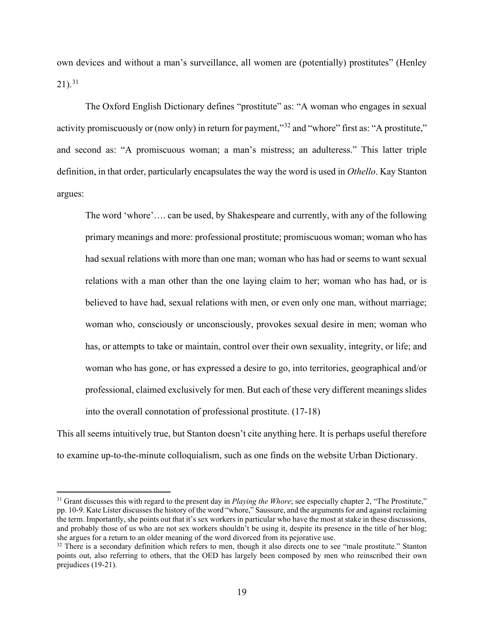own devices and without a man's surveillance, all women are (potentially) prostitutes" (Henley  $21$ ).<sup>[31](#page-25-0)</sup>

The Oxford English Dictionary defines "prostitute" as: "A woman who engages in sexual activity promiscuously or (now only) in return for payment,"<sup>[32](#page-25-1)</sup> and "whore" first as: "A prostitute," and second as: "A promiscuous woman; a man's mistress; an adulteress." This latter triple definition, in that order, particularly encapsulates the way the word is used in *Othello*. Kay Stanton argues:

The word 'whore'…. can be used, by Shakespeare and currently, with any of the following primary meanings and more: professional prostitute; promiscuous woman; woman who has had sexual relations with more than one man; woman who has had or seems to want sexual relations with a man other than the one laying claim to her; woman who has had, or is believed to have had, sexual relations with men, or even only one man, without marriage; woman who, consciously or unconsciously, provokes sexual desire in men; woman who has, or attempts to take or maintain, control over their own sexuality, integrity, or life; and woman who has gone, or has expressed a desire to go, into territories, geographical and/or professional, claimed exclusively for men. But each of these very different meanings slides into the overall connotation of professional prostitute. (17-18)

This all seems intuitively true, but Stanton doesn't cite anything here. It is perhaps useful therefore to examine up-to-the-minute colloquialism, such as one finds on the website Urban Dictionary.

<span id="page-25-0"></span><sup>&</sup>lt;sup>31</sup> Grant discusses this with regard to the present day in *Playing the Whore*; see especially chapter 2, "The Prostitute," pp. 10-9. Kate Lister discusses the history of the word "whore," Saussure, and the arguments for and against reclaiming the term. Importantly, she points out that it's sex workers in particular who have the most at stake in these discussions, and probably those of us who are not sex workers shouldn't be using it, despite its presence in the title of her blog; she argues for a return to an older meaning of the word divorced from its pejorative use.

<span id="page-25-1"></span> $32$  There is a secondary definition which refers to men, though it also directs one to see "male prostitute." Stanton points out, also referring to others, that the OED has largely been composed by men who reinscribed their own prejudices (19-21).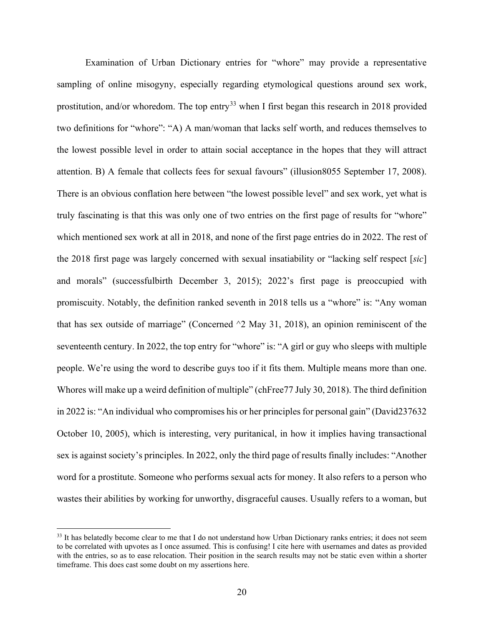Examination of Urban Dictionary entries for "whore" may provide a representative sampling of online misogyny, especially regarding etymological questions around sex work, prostitution, and/or whoredom. The top entry<sup>[33](#page-26-0)</sup> when I first began this research in 2018 provided two definitions for "whore": "A) A man/woman that lacks self worth, and reduces themselves to the lowest possible level in order to attain social acceptance in the hopes that they will attract attention. B) A female that collects fees for sexual favours" (illusion8055 September 17, 2008). There is an obvious conflation here between "the lowest possible level" and sex work, yet what is truly fascinating is that this was only one of two entries on the first page of results for "whore" which mentioned sex work at all in 2018, and none of the first page entries do in 2022. The rest of the 2018 first page was largely concerned with sexual insatiability or "lacking self respect [*sic*] and morals" (successfulbirth December 3, 2015); 2022's first page is preoccupied with promiscuity. Notably, the definition ranked seventh in 2018 tells us a "whore" is: "Any woman that has sex outside of marriage" (Concerned  $\sim$ 2 May 31, 2018), an opinion reminiscent of the seventeenth century. In 2022, the top entry for "whore" is: "A girl or guy who sleeps with multiple people. We're using the word to describe guys too if it fits them. Multiple means more than one. Whores will make up a weird definition of multiple" (chFree77 July 30, 2018). The third definition in 2022 is: "An individual who compromises his or her principles for personal gain" (David237632 October 10, 2005), which is interesting, very puritanical, in how it implies having transactional sex is against society's principles. In 2022, only the third page of results finally includes: "Another word for a prostitute. Someone who performs sexual acts for money. It also refers to a person who wastes their abilities by working for unworthy, disgraceful causes. Usually refers to a woman, but

<span id="page-26-0"></span><sup>&</sup>lt;sup>33</sup> It has belatedly become clear to me that I do not understand how Urban Dictionary ranks entries; it does not seem to be correlated with upvotes as I once assumed. This is confusing! I cite here with usernames and dates as provided with the entries, so as to ease relocation. Their position in the search results may not be static even within a shorter timeframe. This does cast some doubt on my assertions here.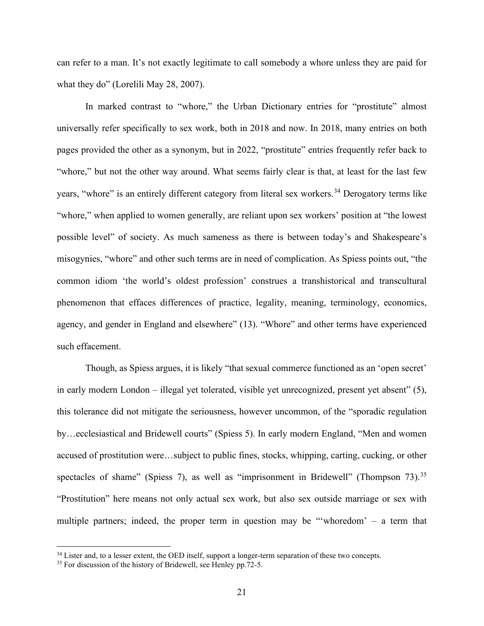can refer to a man. It's not exactly legitimate to call somebody a whore unless they are paid for what they do" (Lorelili May 28, 2007).

In marked contrast to "whore," the Urban Dictionary entries for "prostitute" almost universally refer specifically to sex work, both in 2018 and now. In 2018, many entries on both pages provided the other as a synonym, but in 2022, "prostitute" entries frequently refer back to "whore," but not the other way around. What seems fairly clear is that, at least for the last few years, "whore" is an entirely different category from literal sex workers.<sup>[34](#page-27-0)</sup> Derogatory terms like "whore," when applied to women generally, are reliant upon sex workers' position at "the lowest" possible level" of society. As much sameness as there is between today's and Shakespeare's misogynies, "whore" and other such terms are in need of complication. As Spiess points out, "the common idiom 'the world's oldest profession' construes a transhistorical and transcultural phenomenon that effaces differences of practice, legality, meaning, terminology, economics, agency, and gender in England and elsewhere" (13). "Whore" and other terms have experienced such effacement.

Though, as Spiess argues, it is likely "that sexual commerce functioned as an 'open secret' in early modern London – illegal yet tolerated, visible yet unrecognized, present yet absent" (5), this tolerance did not mitigate the seriousness, however uncommon, of the "sporadic regulation by…ecclesiastical and Bridewell courts" (Spiess 5). In early modern England, "Men and women accused of prostitution were…subject to public fines, stocks, whipping, carting, cucking, or other spectacles of shame" (Spiess 7), as well as "imprisonment in Bridewell" (Thompson 73).<sup>[35](#page-27-1)</sup> "Prostitution" here means not only actual sex work, but also sex outside marriage or sex with multiple partners; indeed, the proper term in question may be "'whoredom' – a term that

<span id="page-27-0"></span><sup>&</sup>lt;sup>34</sup> Lister and, to a lesser extent, the OED itself, support a longer-term separation of these two concepts.

<span id="page-27-1"></span> $35$  For discussion of the history of Bridewell, see Henley pp. 72-5.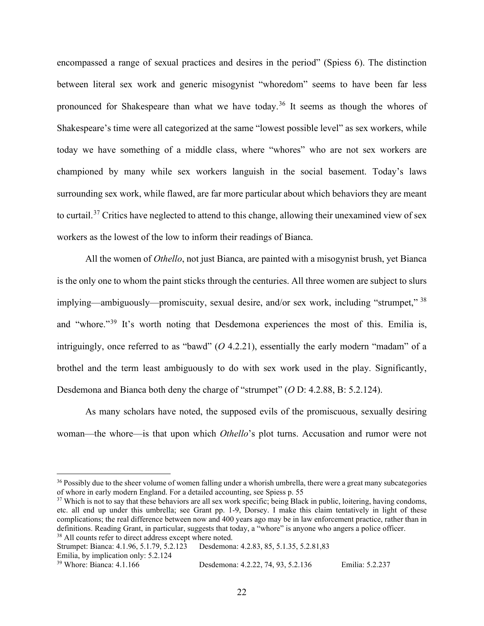encompassed a range of sexual practices and desires in the period" (Spiess 6). The distinction between literal sex work and generic misogynist "whoredom" seems to have been far less pronounced for Shakespeare than what we have today.<sup>[36](#page-28-0)</sup> It seems as though the whores of Shakespeare's time were all categorized at the same "lowest possible level" as sex workers, while today we have something of a middle class, where "whores" who are not sex workers are championed by many while sex workers languish in the social basement. Today's laws surrounding sex work, while flawed, are far more particular about which behaviors they are meant to curtail.[37](#page-28-1) Critics have neglected to attend to this change, allowing their unexamined view of sex workers as the lowest of the low to inform their readings of Bianca.

All the women of *Othello*, not just Bianca, are painted with a misogynist brush, yet Bianca is the only one to whom the paint sticks through the centuries. All three women are subject to slurs implying—ambiguously—promiscuity, sexual desire, and/or sex work, including "strumpet," [38](#page-28-2) and "whore."<sup>[39](#page-28-3)</sup> It's worth noting that Desdemona experiences the most of this. Emilia is, intriguingly, once referred to as "bawd" (*O* 4.2.21), essentially the early modern "madam" of a brothel and the term least ambiguously to do with sex work used in the play. Significantly, Desdemona and Bianca both deny the charge of "strumpet" (*O* D: 4.2.88, B: 5.2.124).

As many scholars have noted, the supposed evils of the promiscuous, sexually desiring woman—the whore—is that upon which *Othello*'s plot turns. Accusation and rumor were not

<span id="page-28-3"></span><sup>39</sup> Whore: Bianca: 4.1.166 Desdemona: 4.2.22, 74, 93, 5.2.136 Emilia: 5.2.237

<span id="page-28-0"></span><sup>&</sup>lt;sup>36</sup> Possibly due to the sheer volume of women falling under a whorish umbrella, there were a great many subcategories of whore in early modern England. For a detailed accounting, see Spiess p. 55

<span id="page-28-1"></span> $37$  Which is not to say that these behaviors are all sex work specific; being Black in public, loitering, having condoms, etc. all end up under this umbrella; see Grant pp. 1-9, Dorsey. I make this claim tentatively in light of these complications; the real difference between now and 400 years ago may be in law enforcement practice, rather than in definitions. Reading Grant, in particular, suggests that today, a "whore" is anyone who angers a police officer.

<span id="page-28-2"></span><sup>&</sup>lt;sup>38</sup> All counts refer to direct address except where noted.<br>Strumpet: Bianca: 4.1.96, 5.1.79, 5.2.123 Desdemona Desdemona: 4.2.83, 85, 5.1.35, 5.2.81,83 Emilia, by implication only: 5.2.124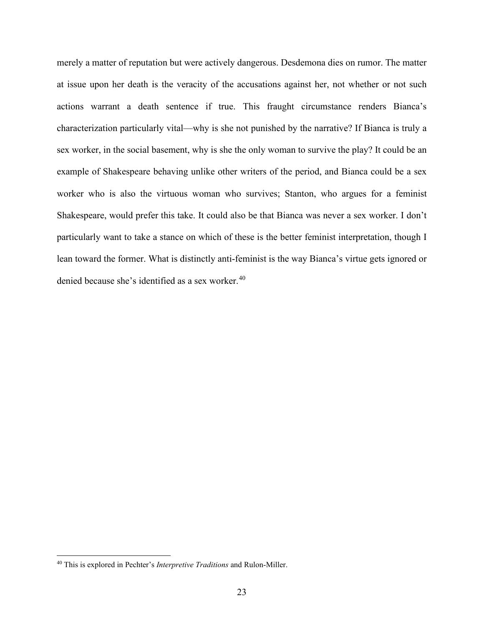merely a matter of reputation but were actively dangerous. Desdemona dies on rumor. The matter at issue upon her death is the veracity of the accusations against her, not whether or not such actions warrant a death sentence if true. This fraught circumstance renders Bianca's characterization particularly vital—why is she not punished by the narrative? If Bianca is truly a sex worker, in the social basement, why is she the only woman to survive the play? It could be an example of Shakespeare behaving unlike other writers of the period, and Bianca could be a sex worker who is also the virtuous woman who survives; Stanton, who argues for a feminist Shakespeare, would prefer this take. It could also be that Bianca was never a sex worker. I don't particularly want to take a stance on which of these is the better feminist interpretation, though I lean toward the former. What is distinctly anti-feminist is the way Bianca's virtue gets ignored or denied because she's identified as a sex worker.<sup>[40](#page-29-0)</sup>

<span id="page-29-0"></span><sup>40</sup> This is explored in Pechter's *Interpretive Traditions* and Rulon-Miller.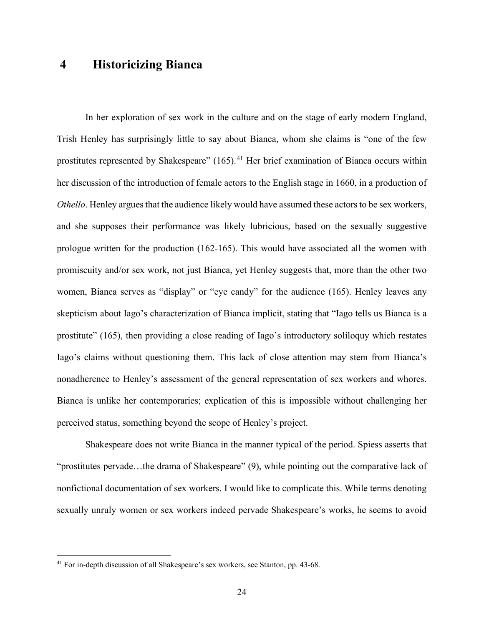### <span id="page-30-0"></span>**4 Historicizing Bianca**

In her exploration of sex work in the culture and on the stage of early modern England, Trish Henley has surprisingly little to say about Bianca, whom she claims is "one of the few prostitutes represented by Shakespeare"  $(165)$ .<sup>[41](#page-30-1)</sup> Her brief examination of Bianca occurs within her discussion of the introduction of female actors to the English stage in 1660, in a production of *Othello*. Henley argues that the audience likely would have assumed these actors to be sex workers, and she supposes their performance was likely lubricious, based on the sexually suggestive prologue written for the production (162-165). This would have associated all the women with promiscuity and/or sex work, not just Bianca, yet Henley suggests that, more than the other two women, Bianca serves as "display" or "eye candy" for the audience (165). Henley leaves any skepticism about Iago's characterization of Bianca implicit, stating that "Iago tells us Bianca is a prostitute" (165), then providing a close reading of Iago's introductory soliloquy which restates Iago's claims without questioning them. This lack of close attention may stem from Bianca's nonadherence to Henley's assessment of the general representation of sex workers and whores. Bianca is unlike her contemporaries; explication of this is impossible without challenging her perceived status, something beyond the scope of Henley's project.

Shakespeare does not write Bianca in the manner typical of the period. Spiess asserts that "prostitutes pervade...the drama of Shakespeare" (9), while pointing out the comparative lack of nonfictional documentation of sex workers. I would like to complicate this. While terms denoting sexually unruly women or sex workers indeed pervade Shakespeare's works, he seems to avoid

<span id="page-30-1"></span><sup>41</sup> For in-depth discussion of all Shakespeare's sex workers, see Stanton, pp. 43-68.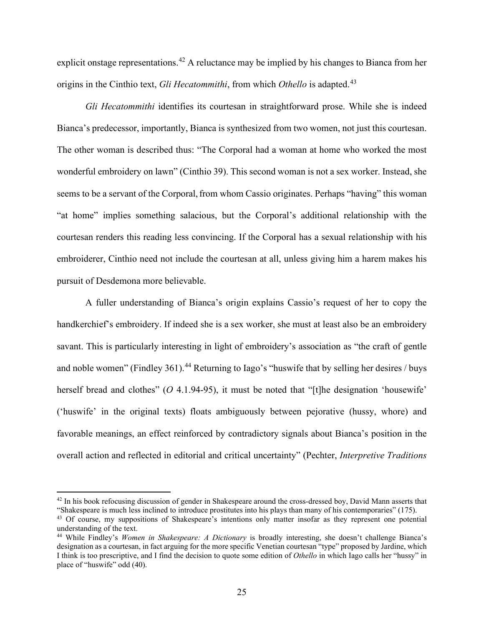explicit onstage representations.<sup>[42](#page-31-0)</sup> A reluctance may be implied by his changes to Bianca from her origins in the Cinthio text, *Gli Hecatommithi*, from which *Othello* is adapted.<sup>[43](#page-31-1)</sup>

*Gli Hecatommithi* identifies its courtesan in straightforward prose. While she is indeed Bianca's predecessor, importantly, Bianca is synthesized from two women, not just this courtesan. The other woman is described thus: "The Corporal had a woman at home who worked the most wonderful embroidery on lawn" (Cinthio 39). This second woman is not a sex worker. Instead, she seems to be a servant of the Corporal, from whom Cassio originates. Perhaps "having" this woman "at home" implies something salacious, but the Corporal's additional relationship with the courtesan renders this reading less convincing. If the Corporal has a sexual relationship with his embroiderer, Cinthio need not include the courtesan at all, unless giving him a harem makes his pursuit of Desdemona more believable.

A fuller understanding of Bianca's origin explains Cassio's request of her to copy the handkerchief's embroidery. If indeed she is a sex worker, she must at least also be an embroidery savant. This is particularly interesting in light of embroidery's association as "the craft of gentle and noble women" (Findley 361).<sup>[44](#page-31-2)</sup> Returning to Iago's "huswife that by selling her desires / buys herself bread and clothes" (O 4.1.94-95), it must be noted that "[t]he designation 'housewife' ('huswife' in the original texts) floats ambiguously between pejorative (hussy, whore) and favorable meanings, an effect reinforced by contradictory signals about Bianca's position in the overall action and reflected in editorial and critical uncertainty" (Pechter, *Interpretive Traditions*

<span id="page-31-0"></span> $42$  In his book refocusing discussion of gender in Shakespeare around the cross-dressed boy, David Mann asserts that "Shakespeare is much less inclined to introduce prostitutes into his plays than many of his contemporaries" (175).

<span id="page-31-1"></span><sup>43</sup> Of course, my suppositions of Shakespeare's intentions only matter insofar as they represent one potential understanding of the text.

<span id="page-31-2"></span><sup>44</sup> While Findley's *Women in Shakespeare: A Dictionary* is broadly interesting, she doesn't challenge Bianca's designation as a courtesan, in fact arguing for the more specific Venetian courtesan "type" proposed by Jardine, which I think is too prescriptive, and I find the decision to quote some edition of *Othello* in which Iago calls her "hussy" in place of "huswife" odd (40).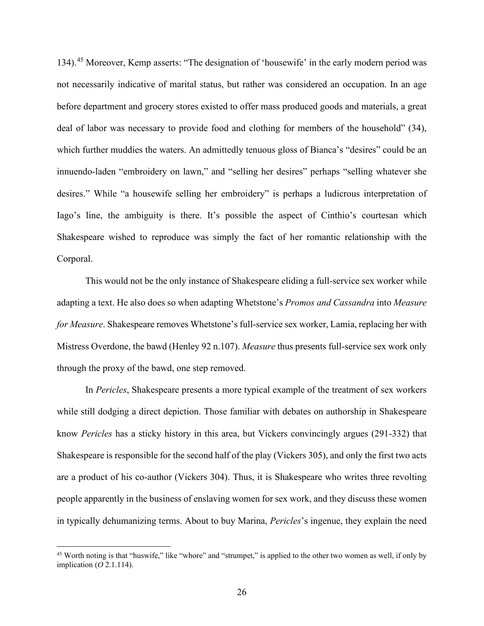134).[45](#page-32-0) Moreover, Kemp asserts: "The designation of 'housewife' in the early modern period was not necessarily indicative of marital status, but rather was considered an occupation. In an age before department and grocery stores existed to offer mass produced goods and materials, a great deal of labor was necessary to provide food and clothing for members of the household" (34), which further muddies the waters. An admittedly tenuous gloss of Bianca's "desires" could be an innuendo-laden "embroidery on lawn," and "selling her desires" perhaps "selling whatever she desires." While "a housewife selling her embroidery" is perhaps a ludicrous interpretation of Iago's line, the ambiguity is there. It's possible the aspect of Cinthio's courtesan which Shakespeare wished to reproduce was simply the fact of her romantic relationship with the Corporal.

This would not be the only instance of Shakespeare eliding a full-service sex worker while adapting a text. He also does so when adapting Whetstone's *Promos and Cassandra* into *Measure for Measure*. Shakespeare removes Whetstone's full-service sex worker, Lamia, replacing her with Mistress Overdone, the bawd (Henley 92 n.107). *Measure* thus presents full-service sex work only through the proxy of the bawd, one step removed.

In *Pericles*, Shakespeare presents a more typical example of the treatment of sex workers while still dodging a direct depiction. Those familiar with debates on authorship in Shakespeare know *Pericles* has a sticky history in this area, but Vickers convincingly argues (291-332) that Shakespeare is responsible for the second half of the play (Vickers 305), and only the first two acts are a product of his co-author (Vickers 304). Thus, it is Shakespeare who writes three revolting people apparently in the business of enslaving women for sex work, and they discuss these women in typically dehumanizing terms. About to buy Marina, *Pericles*'s ingenue, they explain the need

<span id="page-32-0"></span><sup>&</sup>lt;sup>45</sup> Worth noting is that "huswife," like "whore" and "strumpet," is applied to the other two women as well, if only by implication (*O* 2.1.114).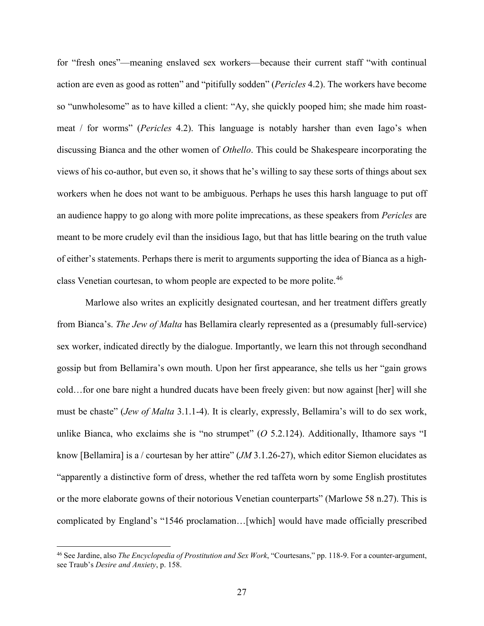for "fresh ones"—meaning enslaved sex workers—because their current staff "with continual action are even as good as rotten" and "pitifully sodden" (*Pericles* 4.2). The workers have become so "unwholesome" as to have killed a client: "Ay, she quickly pooped him; she made him roastmeat / for worms" (*Pericles* 4.2). This language is notably harsher than even Iago's when discussing Bianca and the other women of *Othello*. This could be Shakespeare incorporating the views of his co-author, but even so, it shows that he's willing to say these sorts of things about sex workers when he does not want to be ambiguous. Perhaps he uses this harsh language to put off an audience happy to go along with more polite imprecations, as these speakers from *Pericles* are meant to be more crudely evil than the insidious Iago, but that has little bearing on the truth value of either's statements. Perhaps there is merit to arguments supporting the idea of Bianca as a high-class Venetian courtesan, to whom people are expected to be more polite.<sup>[46](#page-33-0)</sup>

Marlowe also writes an explicitly designated courtesan, and her treatment differs greatly from Bianca's. *The Jew of Malta* has Bellamira clearly represented as a (presumably full-service) sex worker, indicated directly by the dialogue. Importantly, we learn this not through secondhand gossip but from Bellamira's own mouth. Upon her first appearance, she tells us her "gain grows cold…for one bare night a hundred ducats have been freely given: but now against [her] will she must be chaste" (*Jew of Malta* 3.1.1-4). It is clearly, expressly, Bellamira's will to do sex work, unlike Bianca, who exclaims she is "no strumpet" (*O* 5.2.124). Additionally, Ithamore says "I know [Bellamira] is a / courtesan by her attire" (*JM* 3.1.26-27), which editor Siemon elucidates as "apparently a distinctive form of dress, whether the red taffeta worn by some English prostitutes or the more elaborate gowns of their notorious Venetian counterparts" (Marlowe 58 n.27). This is complicated by England's "1546 proclamation…[which] would have made officially prescribed

<span id="page-33-0"></span><sup>46</sup> See Jardine, also *The Encyclopedia of Prostitution and Sex Work*, "Courtesans," pp. 118-9. For a counter-argument, see Traub's *Desire and Anxiety*, p. 158.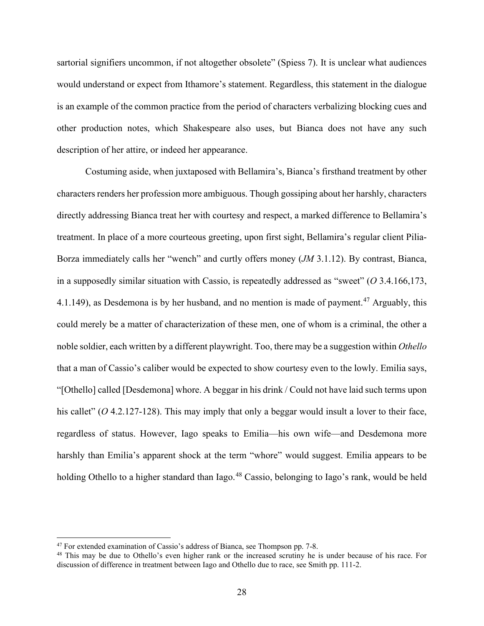sartorial signifiers uncommon, if not altogether obsolete" (Spiess 7). It is unclear what audiences would understand or expect from Ithamore's statement. Regardless, this statement in the dialogue is an example of the common practice from the period of characters verbalizing blocking cues and other production notes, which Shakespeare also uses, but Bianca does not have any such description of her attire, or indeed her appearance.

Costuming aside, when juxtaposed with Bellamira's, Bianca's firsthand treatment by other characters renders her profession more ambiguous. Though gossiping about her harshly, characters directly addressing Bianca treat her with courtesy and respect, a marked difference to Bellamira's treatment. In place of a more courteous greeting, upon first sight, Bellamira's regular client Pilia-Borza immediately calls her "wench" and curtly offers money (*JM* 3.1.12). By contrast, Bianca, in a supposedly similar situation with Cassio, is repeatedly addressed as "sweet" (*O* 3.4.166,173, 4.1.149), as Desdemona is by her husband, and no mention is made of payment.<sup>[47](#page-34-0)</sup> Arguably, this could merely be a matter of characterization of these men, one of whom is a criminal, the other a noble soldier, each written by a different playwright. Too, there may be a suggestion within *Othello* that a man of Cassio's caliber would be expected to show courtesy even to the lowly. Emilia says, "[Othello] called [Desdemona] whore. A beggar in his drink / Could not have laid such terms upon his callet" (O 4.2.127-128). This may imply that only a beggar would insult a lover to their face, regardless of status. However, Iago speaks to Emilia—his own wife—and Desdemona more harshly than Emilia's apparent shock at the term "whore" would suggest. Emilia appears to be holding Othello to a higher standard than Iago.<sup>[48](#page-34-1)</sup> Cassio, belonging to Iago's rank, would be held

<span id="page-34-0"></span><sup>&</sup>lt;sup>47</sup> For extended examination of Cassio's address of Bianca, see Thompson pp. 7-8.

<span id="page-34-1"></span><sup>&</sup>lt;sup>48</sup> This may be due to Othello's even higher rank or the increased scrutiny he is under because of his race. For discussion of difference in treatment between Iago and Othello due to race, see Smith pp. 111-2.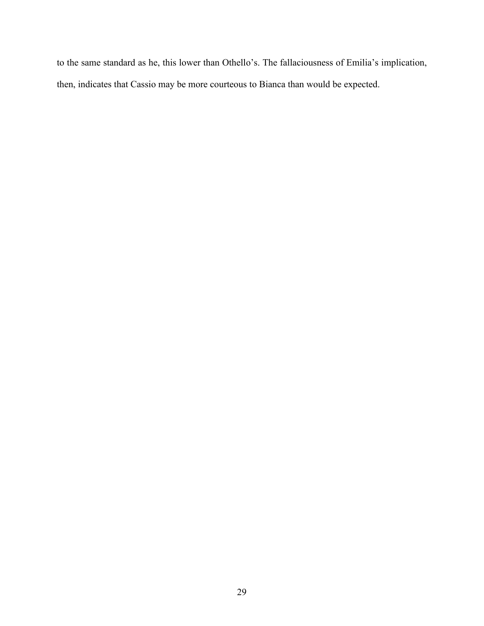to the same standard as he, this lower than Othello's. The fallaciousness of Emilia's implication, then, indicates that Cassio may be more courteous to Bianca than would be expected.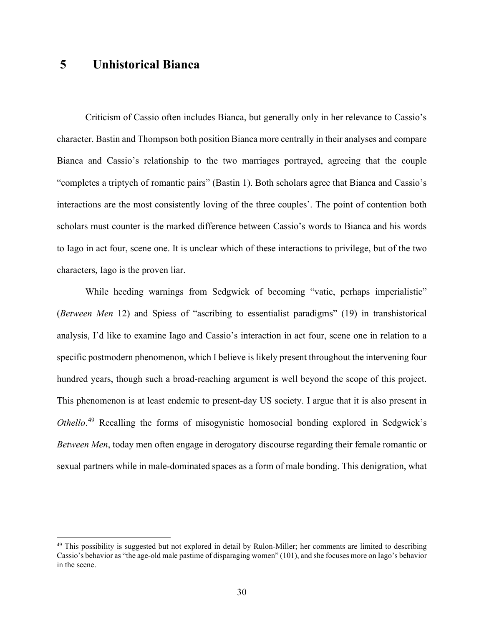### <span id="page-36-0"></span>**5 Unhistorical Bianca**

Criticism of Cassio often includes Bianca, but generally only in her relevance to Cassio's character. Bastin and Thompson both position Bianca more centrally in their analyses and compare Bianca and Cassio's relationship to the two marriages portrayed, agreeing that the couple "completes a triptych of romantic pairs" (Bastin 1). Both scholars agree that Bianca and Cassio's interactions are the most consistently loving of the three couples'. The point of contention both scholars must counter is the marked difference between Cassio's words to Bianca and his words to Iago in act four, scene one. It is unclear which of these interactions to privilege, but of the two characters, Iago is the proven liar.

While heeding warnings from Sedgwick of becoming "vatic, perhaps imperialistic" (*Between Men* 12) and Spiess of "ascribing to essentialist paradigms" (19) in transhistorical analysis, I'd like to examine Iago and Cassio's interaction in act four, scene one in relation to a specific postmodern phenomenon, which I believe is likely present throughout the intervening four hundred years, though such a broad-reaching argument is well beyond the scope of this project. This phenomenon is at least endemic to present-day US society. I argue that it is also present in *Othello*. [49](#page-36-1) Recalling the forms of misogynistic homosocial bonding explored in Sedgwick's *Between Men*, today men often engage in derogatory discourse regarding their female romantic or sexual partners while in male-dominated spaces as a form of male bonding. This denigration, what

<span id="page-36-1"></span> $49$  This possibility is suggested but not explored in detail by Rulon-Miller; her comments are limited to describing Cassio's behavior as "the age-old male pastime of disparaging women" (101), and she focuses more on Iago's behavior in the scene.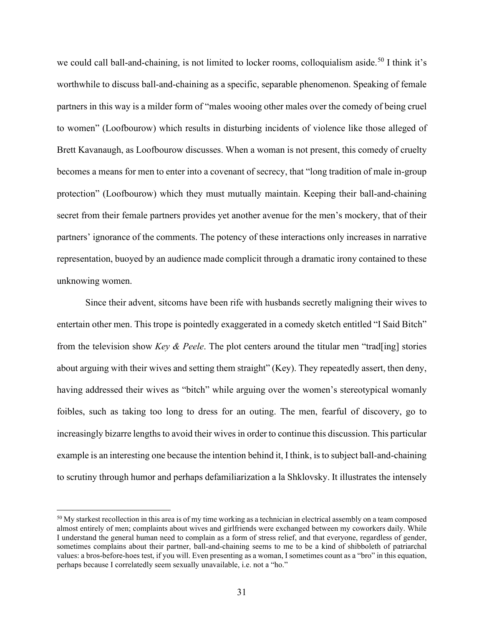we could call ball-and-chaining, is not limited to locker rooms, colloquialism aside.<sup>[50](#page-37-0)</sup> I think it's worthwhile to discuss ball-and-chaining as a specific, separable phenomenon. Speaking of female partners in this way is a milder form of "males wooing other males over the comedy of being cruel to women" (Loofbourow) which results in disturbing incidents of violence like those alleged of Brett Kavanaugh, as Loofbourow discusses. When a woman is not present, this comedy of cruelty becomes a means for men to enter into a covenant of secrecy, that "long tradition of male in-group protection" (Loofbourow) which they must mutually maintain. Keeping their ball-and-chaining secret from their female partners provides yet another avenue for the men's mockery, that of their partners' ignorance of the comments. The potency of these interactions only increases in narrative representation, buoyed by an audience made complicit through a dramatic irony contained to these unknowing women.

Since their advent, sitcoms have been rife with husbands secretly maligning their wives to entertain other men. This trope is pointedly exaggerated in a comedy sketch entitled "I Said Bitch" from the television show *Key & Peele*. The plot centers around the titular men "trad[ing] stories about arguing with their wives and setting them straight" (Key). They repeatedly assert, then deny, having addressed their wives as "bitch" while arguing over the women's stereotypical womanly foibles, such as taking too long to dress for an outing. The men, fearful of discovery, go to increasingly bizarre lengths to avoid their wives in order to continue this discussion. This particular example is an interesting one because the intention behind it, I think, is to subject ball-and-chaining to scrutiny through humor and perhaps defamiliarization a la Shklovsky. It illustrates the intensely

<span id="page-37-0"></span> $50$  My starkest recollection in this area is of my time working as a technician in electrical assembly on a team composed almost entirely of men; complaints about wives and girlfriends were exchanged between my coworkers daily. While I understand the general human need to complain as a form of stress relief, and that everyone, regardless of gender, sometimes complains about their partner, ball-and-chaining seems to me to be a kind of shibboleth of patriarchal values: a bros-before-hoes test, if you will. Even presenting as a woman, I sometimes count as a "bro" in this equation, perhaps because I correlatedly seem sexually unavailable, i.e. not a "ho."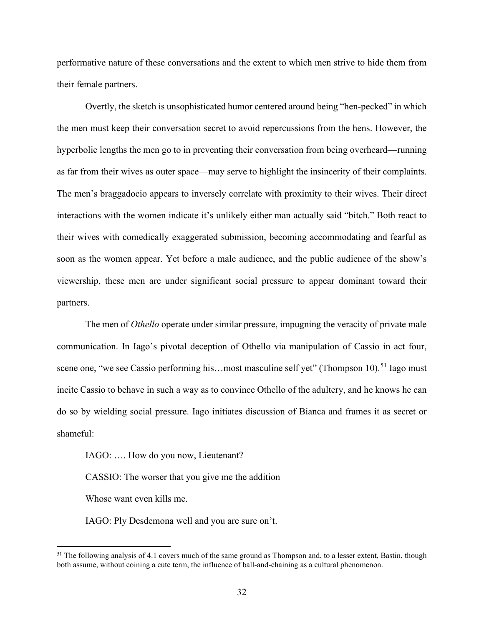performative nature of these conversations and the extent to which men strive to hide them from their female partners.

Overtly, the sketch is unsophisticated humor centered around being "hen-pecked" in which the men must keep their conversation secret to avoid repercussions from the hens. However, the hyperbolic lengths the men go to in preventing their conversation from being overheard—running as far from their wives as outer space—may serve to highlight the insincerity of their complaints. The men's braggadocio appears to inversely correlate with proximity to their wives. Their direct interactions with the women indicate it's unlikely either man actually said "bitch." Both react to their wives with comedically exaggerated submission, becoming accommodating and fearful as soon as the women appear. Yet before a male audience, and the public audience of the show's viewership, these men are under significant social pressure to appear dominant toward their partners.

The men of *Othello* operate under similar pressure, impugning the veracity of private male communication. In Iago's pivotal deception of Othello via manipulation of Cassio in act four, scene one, "we see Cassio performing his...most masculine self yet" (Thompson 10).<sup>[51](#page-38-0)</sup> Iago must incite Cassio to behave in such a way as to convince Othello of the adultery, and he knows he can do so by wielding social pressure. Iago initiates discussion of Bianca and frames it as secret or shameful:

IAGO: …. How do you now, Lieutenant?

CASSIO: The worser that you give me the addition

Whose want even kills me.

IAGO: Ply Desdemona well and you are sure on't.

<span id="page-38-0"></span><sup>&</sup>lt;sup>51</sup> The following analysis of 4.1 covers much of the same ground as Thompson and, to a lesser extent, Bastin, though both assume, without coining a cute term, the influence of ball-and-chaining as a cultural phenomenon.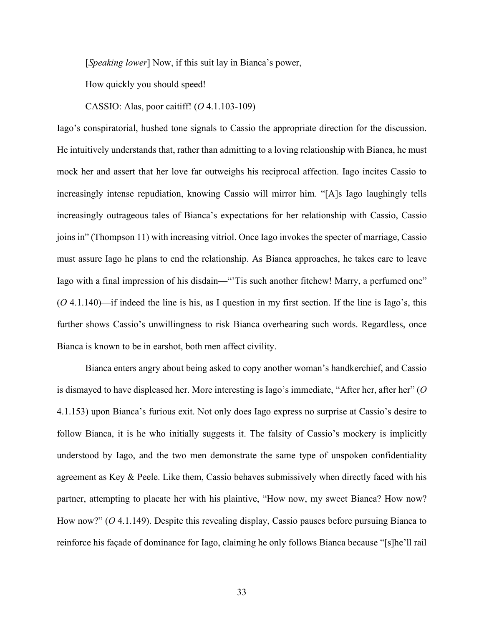[*Speaking lower*] Now, if this suit lay in Bianca's power,

How quickly you should speed!

CASSIO: Alas, poor caitiff! (*O* 4.1.103-109)

Iago's conspiratorial, hushed tone signals to Cassio the appropriate direction for the discussion. He intuitively understands that, rather than admitting to a loving relationship with Bianca, he must mock her and assert that her love far outweighs his reciprocal affection. Iago incites Cassio to increasingly intense repudiation, knowing Cassio will mirror him. "[A]s Iago laughingly tells increasingly outrageous tales of Bianca's expectations for her relationship with Cassio, Cassio joins in" (Thompson 11) with increasing vitriol. Once Iago invokes the specter of marriage, Cassio must assure Iago he plans to end the relationship. As Bianca approaches, he takes care to leave Iago with a final impression of his disdain—"Tis such another fitchew! Marry, a perfumed one" (*O* 4.1.140)—if indeed the line is his, as I question in my first section. If the line is Iago's, this further shows Cassio's unwillingness to risk Bianca overhearing such words. Regardless, once Bianca is known to be in earshot, both men affect civility.

Bianca enters angry about being asked to copy another woman's handkerchief, and Cassio is dismayed to have displeased her. More interesting is Iago's immediate, "After her, after her" (*O*  4.1.153) upon Bianca's furious exit. Not only does Iago express no surprise at Cassio's desire to follow Bianca, it is he who initially suggests it. The falsity of Cassio's mockery is implicitly understood by Iago, and the two men demonstrate the same type of unspoken confidentiality agreement as Key & Peele. Like them, Cassio behaves submissively when directly faced with his partner, attempting to placate her with his plaintive, "How now, my sweet Bianca? How now? How now?" (*O* 4.1.149). Despite this revealing display, Cassio pauses before pursuing Bianca to reinforce his façade of dominance for Iago, claiming he only follows Bianca because "[s]he'll rail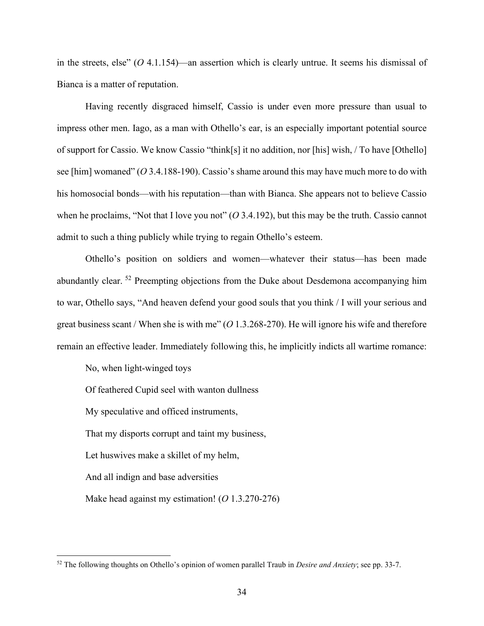in the streets, else" (*O* 4.1.154)—an assertion which is clearly untrue. It seems his dismissal of Bianca is a matter of reputation.

Having recently disgraced himself, Cassio is under even more pressure than usual to impress other men. Iago, as a man with Othello's ear, is an especially important potential source of support for Cassio. We know Cassio "think[s] it no addition, nor [his] wish, / To have [Othello] see [him] womaned" (*O* 3.4.188-190). Cassio's shame around this may have much more to do with his homosocial bonds—with his reputation—than with Bianca. She appears not to believe Cassio when he proclaims, "Not that I love you not" (*O* 3.4.192), but this may be the truth. Cassio cannot admit to such a thing publicly while trying to regain Othello's esteem.

Othello's position on soldiers and women—whatever their status—has been made abundantly clear. [52](#page-40-0) Preempting objections from the Duke about Desdemona accompanying him to war, Othello says, "And heaven defend your good souls that you think / I will your serious and great business scant / When she is with me" (*O* 1.3.268-270). He will ignore his wife and therefore remain an effective leader. Immediately following this, he implicitly indicts all wartime romance:

No, when light-winged toys

Of feathered Cupid seel with wanton dullness

My speculative and officed instruments,

That my disports corrupt and taint my business,

Let huswives make a skillet of my helm,

And all indign and base adversities

Make head against my estimation! (*O* 1.3.270-276)

<span id="page-40-0"></span><sup>52</sup> The following thoughts on Othello's opinion of women parallel Traub in *Desire and Anxiety*; see pp. 33-7.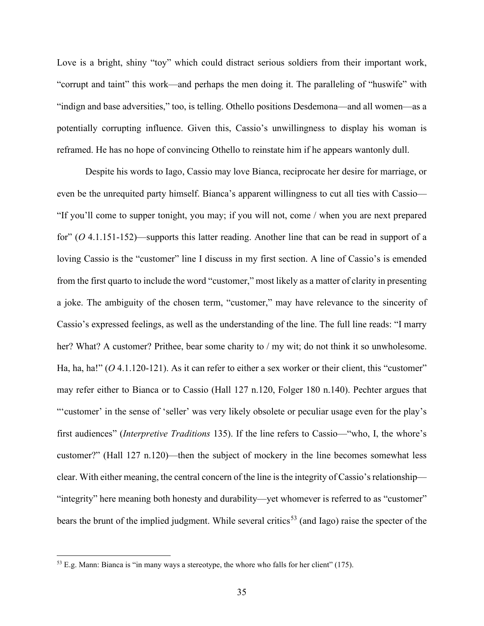Love is a bright, shiny "toy" which could distract serious soldiers from their important work, "corrupt and taint" this work—and perhaps the men doing it. The paralleling of "huswife" with "indign and base adversities," too, is telling. Othello positions Desdemona—and all women—as a potentially corrupting influence. Given this, Cassio's unwillingness to display his woman is reframed. He has no hope of convincing Othello to reinstate him if he appears wantonly dull.

Despite his words to Iago, Cassio may love Bianca, reciprocate her desire for marriage, or even be the unrequited party himself. Bianca's apparent willingness to cut all ties with Cassio— "If you'll come to supper tonight, you may; if you will not, come / when you are next prepared for" (*O* 4.1.151-152)—supports this latter reading. Another line that can be read in support of a loving Cassio is the "customer" line I discuss in my first section. A line of Cassio's is emended from the first quarto to include the word "customer," most likely as a matter of clarity in presenting a joke. The ambiguity of the chosen term, "customer," may have relevance to the sincerity of Cassio's expressed feelings, as well as the understanding of the line. The full line reads: "I marry her? What? A customer? Prithee, bear some charity to / my wit; do not think it so unwholesome. Ha, ha, ha!" (O 4.1.120-121). As it can refer to either a sex worker or their client, this "customer" may refer either to Bianca or to Cassio (Hall 127 n.120, Folger 180 n.140). Pechter argues that "'customer' in the sense of 'seller' was very likely obsolete or peculiar usage even for the play's first audiences" (*Interpretive Traditions* 135). If the line refers to Cassio—"who, I, the whore's customer?" (Hall 127 n.120)—then the subject of mockery in the line becomes somewhat less clear. With either meaning, the central concern of the line is the integrity of Cassio's relationship— "integrity" here meaning both honesty and durability—yet whomever is referred to as "customer" bears the brunt of the implied judgment. While several critics<sup>[53](#page-41-0)</sup> (and Iago) raise the specter of the

<span id="page-41-0"></span><sup>53</sup> E.g. Mann: Bianca is "in many ways a stereotype, the whore who falls for her client" (175).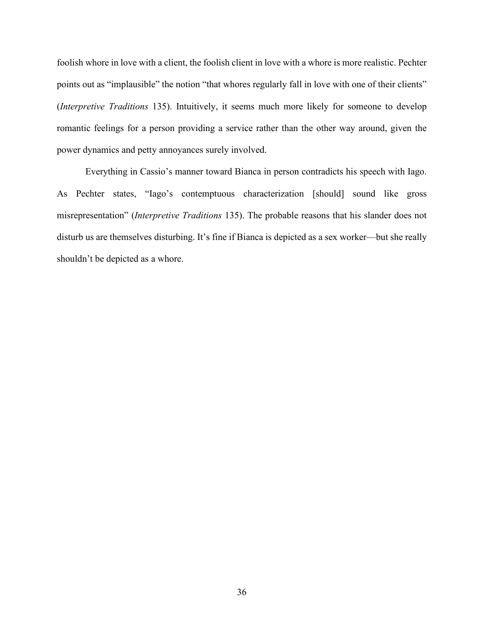foolish whore in love with a client, the foolish client in love with a whore is more realistic. Pechter points out as "implausible" the notion "that whores regularly fall in love with one of their clients" (*Interpretive Traditions* 135). Intuitively, it seems much more likely for someone to develop romantic feelings for a person providing a service rather than the other way around, given the power dynamics and petty annoyances surely involved.

Everything in Cassio's manner toward Bianca in person contradicts his speech with Iago. As Pechter states, "Iago's contemptuous characterization [should] sound like gross misrepresentation" (*Interpretive Traditions* 135). The probable reasons that his slander does not disturb us are themselves disturbing. It's fine if Bianca is depicted as a sex worker—but she really shouldn't be depicted as a whore.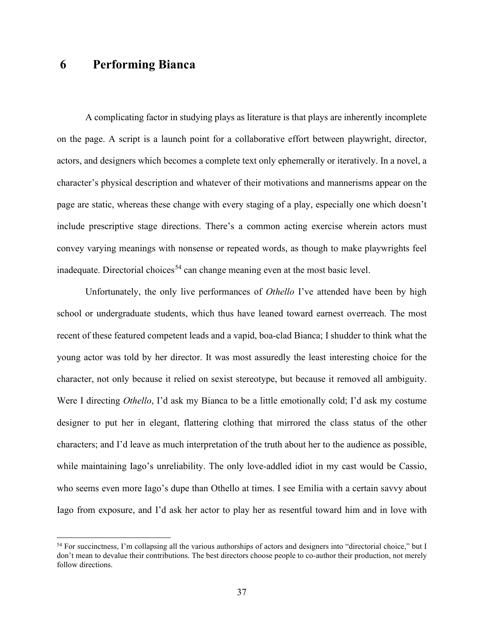### <span id="page-43-0"></span>**6 Performing Bianca**

A complicating factor in studying plays as literature is that plays are inherently incomplete on the page. A script is a launch point for a collaborative effort between playwright, director, actors, and designers which becomes a complete text only ephemerally or iteratively. In a novel, a character's physical description and whatever of their motivations and mannerisms appear on the page are static, whereas these change with every staging of a play, especially one which doesn't include prescriptive stage directions. There's a common acting exercise wherein actors must convey varying meanings with nonsense or repeated words, as though to make playwrights feel inadequate. Directorial choices<sup>[54](#page-43-1)</sup> can change meaning even at the most basic level.

Unfortunately, the only live performances of *Othello* I've attended have been by high school or undergraduate students, which thus have leaned toward earnest overreach. The most recent of these featured competent leads and a vapid, boa-clad Bianca; I shudder to think what the young actor was told by her director. It was most assuredly the least interesting choice for the character, not only because it relied on sexist stereotype, but because it removed all ambiguity. Were I directing *Othello*, I'd ask my Bianca to be a little emotionally cold; I'd ask my costume designer to put her in elegant, flattering clothing that mirrored the class status of the other characters; and I'd leave as much interpretation of the truth about her to the audience as possible, while maintaining Iago's unreliability. The only love-addled idiot in my cast would be Cassio, who seems even more Iago's dupe than Othello at times. I see Emilia with a certain savvy about Iago from exposure, and I'd ask her actor to play her as resentful toward him and in love with

<span id="page-43-1"></span><sup>54</sup> For succinctness, I'm collapsing all the various authorships of actors and designers into "directorial choice," but I don't mean to devalue their contributions. The best directors choose people to co-author their production, not merely follow directions.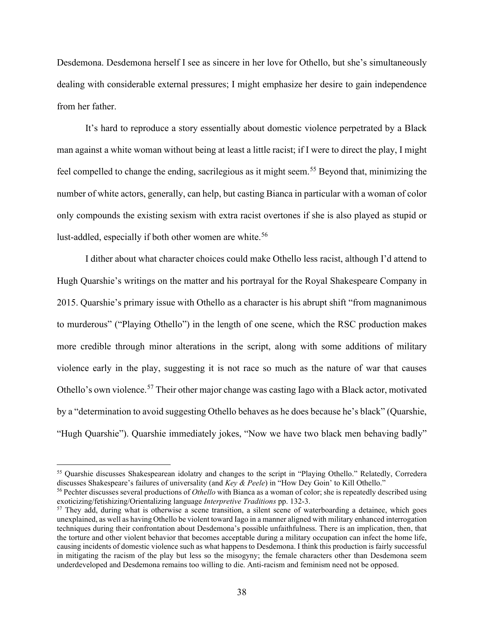Desdemona. Desdemona herself I see as sincere in her love for Othello, but she's simultaneously dealing with considerable external pressures; I might emphasize her desire to gain independence from her father.

It's hard to reproduce a story essentially about domestic violence perpetrated by a Black man against a white woman without being at least a little racist; if I were to direct the play, I might feel compelled to change the ending, sacrilegious as it might seem.[55](#page-44-0) Beyond that, minimizing the number of white actors, generally, can help, but casting Bianca in particular with a woman of color only compounds the existing sexism with extra racist overtones if she is also played as stupid or lust-addled, especially if both other women are white.<sup>[56](#page-44-1)</sup>

I dither about what character choices could make Othello less racist, although I'd attend to Hugh Quarshie's writings on the matter and his portrayal for the Royal Shakespeare Company in 2015. Quarshie's primary issue with Othello as a character is his abrupt shift "from magnanimous to murderous" ("Playing Othello") in the length of one scene, which the RSC production makes more credible through minor alterations in the script, along with some additions of military violence early in the play, suggesting it is not race so much as the nature of war that causes Othello's own violence.<sup>[57](#page-44-2)</sup> Their other major change was casting Iago with a Black actor, motivated by a "determination to avoid suggesting Othello behaves as he does because he's black" (Quarshie, "Hugh Quarshie"). Quarshie immediately jokes, "Now we have two black men behaving badly"

<span id="page-44-0"></span><sup>&</sup>lt;sup>55</sup> Ouarshie discusses Shakespearean idolatry and changes to the script in "Playing Othello." Relatedly, Corredera discusses Shakespeare's failures of universality (and *Key & Peele*) in "How Dey Goin' to Kill Othello."

<span id="page-44-1"></span><sup>56</sup> Pechter discusses several productions of *Othello* with Bianca as a woman of color; she is repeatedly described using exoticizing/fetishizing/Orientalizing language *Interpretive Traditions* pp. 132-3.

<span id="page-44-2"></span><sup>&</sup>lt;sup>57</sup> They add, during what is otherwise a scene transition, a silent scene of waterboarding a detainee, which goes unexplained, as well as having Othello be violent toward Iago in a manner aligned with military enhanced interrogation techniques during their confrontation about Desdemona's possible unfaithfulness. There is an implication, then, that the torture and other violent behavior that becomes acceptable during a military occupation can infect the home life, causing incidents of domestic violence such as what happens to Desdemona. I think this production is fairly successful in mitigating the racism of the play but less so the misogyny; the female characters other than Desdemona seem underdeveloped and Desdemona remains too willing to die. Anti-racism and feminism need not be opposed.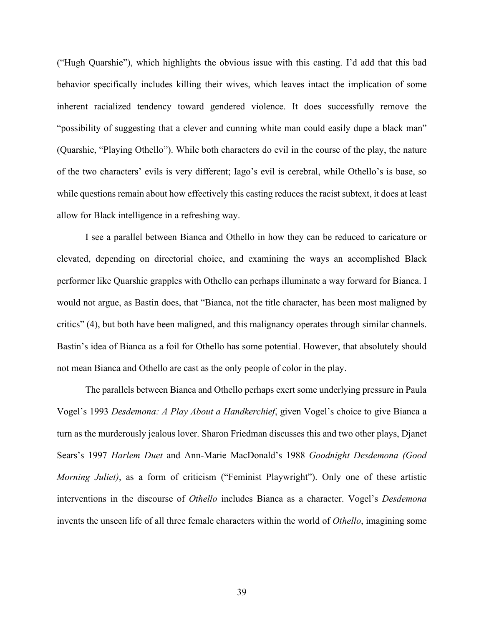("Hugh Quarshie"), which highlights the obvious issue with this casting. I'd add that this bad behavior specifically includes killing their wives, which leaves intact the implication of some inherent racialized tendency toward gendered violence. It does successfully remove the "possibility of suggesting that a clever and cunning white man could easily dupe a black man" (Quarshie, "Playing Othello"). While both characters do evil in the course of the play, the nature of the two characters' evils is very different; Iago's evil is cerebral, while Othello's is base, so while questions remain about how effectively this casting reduces the racist subtext, it does at least allow for Black intelligence in a refreshing way.

I see a parallel between Bianca and Othello in how they can be reduced to caricature or elevated, depending on directorial choice, and examining the ways an accomplished Black performer like Quarshie grapples with Othello can perhaps illuminate a way forward for Bianca. I would not argue, as Bastin does, that "Bianca, not the title character, has been most maligned by critics" (4), but both have been maligned, and this malignancy operates through similar channels. Bastin's idea of Bianca as a foil for Othello has some potential. However, that absolutely should not mean Bianca and Othello are cast as the only people of color in the play.

The parallels between Bianca and Othello perhaps exert some underlying pressure in Paula Vogel's 1993 *Desdemona: A Play About a Handkerchief*, given Vogel's choice to give Bianca a turn as the murderously jealous lover. Sharon Friedman discusses this and two other plays, Djanet Sears's 1997 *Harlem Duet* and Ann-Marie MacDonald's 1988 *Goodnight Desdemona (Good Morning Juliet)*, as a form of criticism ("Feminist Playwright"). Only one of these artistic interventions in the discourse of *Othello* includes Bianca as a character. Vogel's *Desdemona* invents the unseen life of all three female characters within the world of *Othello*, imagining some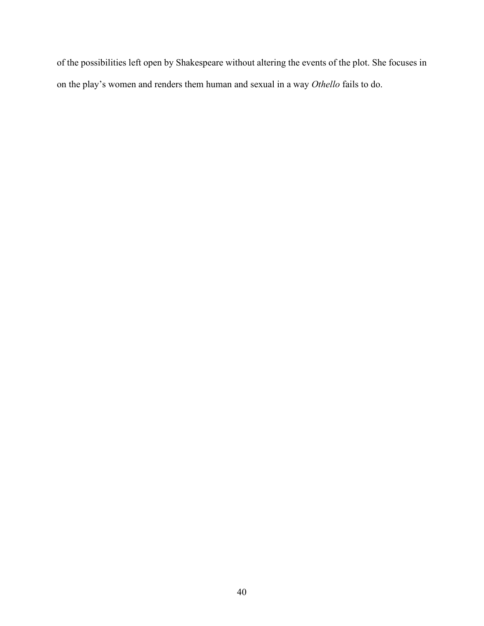of the possibilities left open by Shakespeare without altering the events of the plot. She focuses in on the play's women and renders them human and sexual in a way *Othello* fails to do.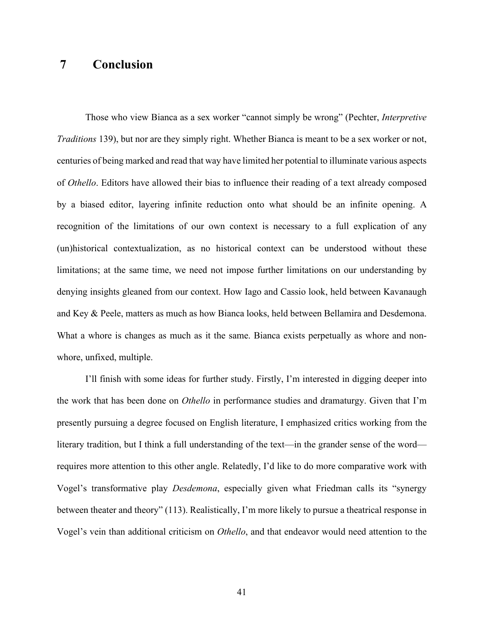## <span id="page-47-0"></span>**7 Conclusion**

Those who view Bianca as a sex worker "cannot simply be wrong" (Pechter, *Interpretive Traditions* 139), but nor are they simply right. Whether Bianca is meant to be a sex worker or not, centuries of being marked and read that way have limited her potential to illuminate various aspects of *Othello*. Editors have allowed their bias to influence their reading of a text already composed by a biased editor, layering infinite reduction onto what should be an infinite opening. A recognition of the limitations of our own context is necessary to a full explication of any (un)historical contextualization, as no historical context can be understood without these limitations; at the same time, we need not impose further limitations on our understanding by denying insights gleaned from our context. How Iago and Cassio look, held between Kavanaugh and Key & Peele, matters as much as how Bianca looks, held between Bellamira and Desdemona. What a whore is changes as much as it the same. Bianca exists perpetually as whore and nonwhore, unfixed, multiple.

I'll finish with some ideas for further study. Firstly, I'm interested in digging deeper into the work that has been done on *Othello* in performance studies and dramaturgy. Given that I'm presently pursuing a degree focused on English literature, I emphasized critics working from the literary tradition, but I think a full understanding of the text—in the grander sense of the word requires more attention to this other angle. Relatedly, I'd like to do more comparative work with Vogel's transformative play *Desdemona*, especially given what Friedman calls its "synergy between theater and theory" (113). Realistically, I'm more likely to pursue a theatrical response in Vogel's vein than additional criticism on *Othello*, and that endeavor would need attention to the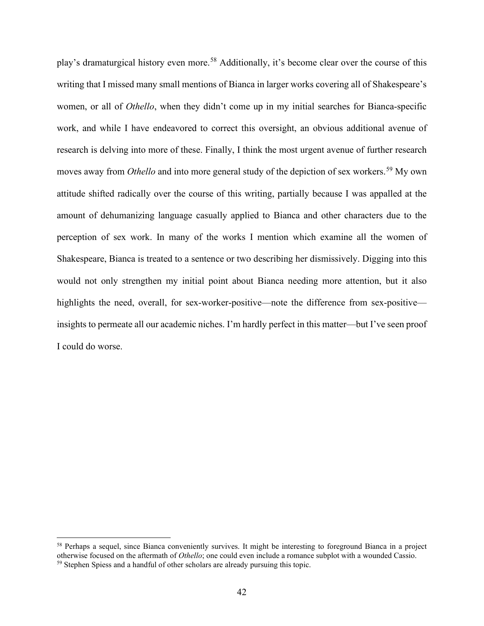play's dramaturgical history even more.<sup>[58](#page-48-0)</sup> Additionally, it's become clear over the course of this writing that I missed many small mentions of Bianca in larger works covering all of Shakespeare's women, or all of *Othello*, when they didn't come up in my initial searches for Bianca-specific work, and while I have endeavored to correct this oversight, an obvious additional avenue of research is delving into more of these. Finally, I think the most urgent avenue of further research moves away from *Othello* and into more general study of the depiction of sex workers.<sup>[59](#page-48-1)</sup> My own attitude shifted radically over the course of this writing, partially because I was appalled at the amount of dehumanizing language casually applied to Bianca and other characters due to the perception of sex work. In many of the works I mention which examine all the women of Shakespeare, Bianca is treated to a sentence or two describing her dismissively. Digging into this would not only strengthen my initial point about Bianca needing more attention, but it also highlights the need, overall, for sex-worker-positive—note the difference from sex-positive insights to permeate all our academic niches. I'm hardly perfect in this matter—but I've seen proof I could do worse.

<span id="page-48-1"></span><span id="page-48-0"></span><sup>&</sup>lt;sup>58</sup> Perhaps a sequel, since Bianca conveniently survives. It might be interesting to foreground Bianca in a project otherwise focused on the aftermath of *Othello*; one could even include a romance subplot with a wounded Cassio. <sup>59</sup> Stephen Spiess and a handful of other scholars are already pursuing this topic.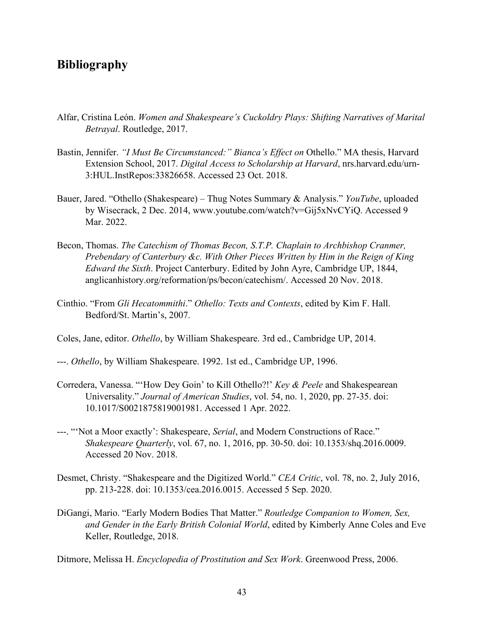## <span id="page-49-0"></span>**Bibliography**

- Alfar, Cristina León. *Women and Shakespeare's Cuckoldry Plays: Shifting Narratives of Marital Betrayal*. Routledge, 2017.
- Bastin, Jennifer. *"I Must Be Circumstanced:" Bianca's Effect on* Othello." MA thesis, Harvard Extension School, 2017. *Digital Access to Scholarship at Harvard*, nrs.harvard.edu/urn-3:HUL.InstRepos:33826658. Accessed 23 Oct. 2018.
- Bauer, Jared. "Othello (Shakespeare) Thug Notes Summary & Analysis." *YouTube*, uploaded by Wisecrack, 2 Dec. 2014, www.youtube.com/watch?v=Gij5xNvCYiQ. Accessed 9 Mar. 2022.
- Becon, Thomas. *The Catechism of Thomas Becon, S.T.P. Chaplain to Archbishop Cranmer, Prebendary of Canterbury &c. With Other Pieces Written by Him in the Reign of King Edward the Sixth*. Project Canterbury. Edited by John Ayre, Cambridge UP, 1844, anglicanhistory.org/reformation/ps/becon/catechism/. Accessed 20 Nov. 2018.
- Cinthio. "From *Gli Hecatommithi*." *Othello: Texts and Contexts*, edited by Kim F. Hall. Bedford/St. Martin's, 2007.
- Coles, Jane, editor. *Othello*, by William Shakespeare. 3rd ed., Cambridge UP, 2014.
- ---. *Othello*, by William Shakespeare. 1992. 1st ed., Cambridge UP, 1996.
- Corredera, Vanessa. "'How Dey Goin' to Kill Othello?!' *Key & Peele* and Shakespearean Universality." *Journal of American Studies*, vol. 54, no. 1, 2020, pp. 27-35. doi: 10.1017/S0021875819001981. Accessed 1 Apr. 2022.
- ---. "'Not a Moor exactly': Shakespeare, *Serial*, and Modern Constructions of Race." *Shakespeare Quarterly*, vol. 67, no. 1, 2016, pp. 30-50. doi: 10.1353/shq.2016.0009. Accessed 20 Nov. 2018.
- Desmet, Christy. "Shakespeare and the Digitized World." *CEA Critic*, vol. 78, no. 2, July 2016, pp. 213-228. doi: 10.1353/cea.2016.0015. Accessed 5 Sep. 2020.
- DiGangi, Mario. "Early Modern Bodies That Matter." *Routledge Companion to Women, Sex, and Gender in the Early British Colonial World*, edited by Kimberly Anne Coles and Eve Keller, Routledge, 2018.

Ditmore, Melissa H. *Encyclopedia of Prostitution and Sex Work*. Greenwood Press, 2006.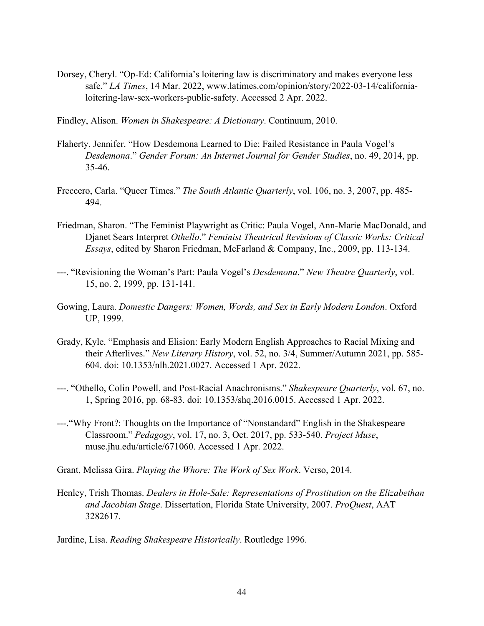- Dorsey, Cheryl. "Op-Ed: California's loitering law is discriminatory and makes everyone less safe." *LA Times*, 14 Mar. 2022, www.latimes.com/opinion/story/2022-03-14/californialoitering-law-sex-workers-public-safety. Accessed 2 Apr. 2022.
- Findley, Alison. *Women in Shakespeare: A Dictionary*. Continuum, 2010.
- Flaherty, Jennifer. "How Desdemona Learned to Die: Failed Resistance in Paula Vogel's *Desdemona*." *Gender Forum: An Internet Journal for Gender Studies*, no. 49, 2014, pp. 35-46.
- Freccero, Carla. "Queer Times." *The South Atlantic Quarterly*, vol. 106, no. 3, 2007, pp. 485- 494.
- Friedman, Sharon. "The Feminist Playwright as Critic: Paula Vogel, Ann-Marie MacDonald, and Djanet Sears Interpret *Othello*." *Feminist Theatrical Revisions of Classic Works: Critical Essays*, edited by Sharon Friedman, McFarland & Company, Inc., 2009, pp. 113-134.
- ---. "Revisioning the Woman's Part: Paula Vogel's *Desdemona*." *New Theatre Quarterly*, vol. 15, no. 2, 1999, pp. 131-141.
- Gowing, Laura. *Domestic Dangers: Women, Words, and Sex in Early Modern London*. Oxford UP, 1999.
- Grady, Kyle. "Emphasis and Elision: Early Modern English Approaches to Racial Mixing and their Afterlives." *New Literary History*, vol. 52, no. 3/4, Summer/Autumn 2021, pp. 585- 604. doi: 10.1353/nlh.2021.0027. Accessed 1 Apr. 2022.
- ---. "Othello, Colin Powell, and Post-Racial Anachronisms." *Shakespeare Quarterly*, vol. 67, no. 1, Spring 2016, pp. 68-83. doi: 10.1353/shq.2016.0015. Accessed 1 Apr. 2022.
- ---."Why Front?: Thoughts on the Importance of "Nonstandard" English in the Shakespeare Classroom." *Pedagogy*, vol. 17, no. 3, Oct. 2017, pp. 533-540. *Project Muse*, muse.jhu.edu/article/671060. Accessed 1 Apr. 2022.

Grant, Melissa Gira. *Playing the Whore: The Work of Sex Work*. Verso, 2014.

Henley, Trish Thomas. *Dealers in Hole-Sale: Representations of Prostitution on the Elizabethan and Jacobian Stage*. Dissertation, Florida State University, 2007. *ProQuest*, AAT 3282617.

Jardine, Lisa. *Reading Shakespeare Historically*. Routledge 1996.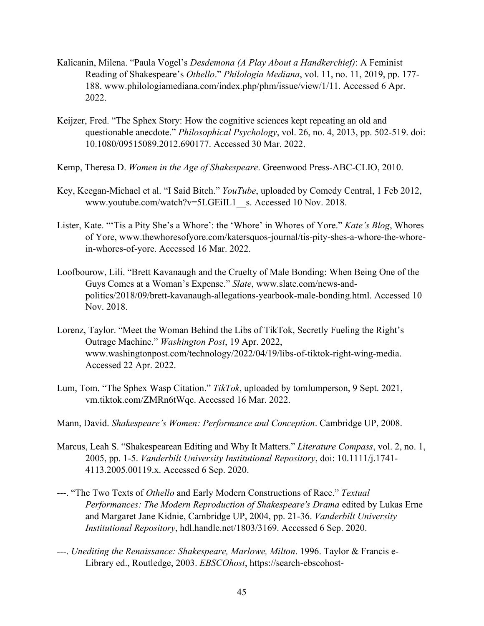- Kalicanin, Milena. "Paula Vogel's *Desdemona (A Play About a Handkerchief)*: A Feminist Reading of Shakespeare's *Othello*." *Philologia Mediana*, vol. 11, no. 11, 2019, pp. 177- 188. www.philologiamediana.com/index.php/phm/issue/view/1/11. Accessed 6 Apr. 2022.
- Keijzer, Fred. "The Sphex Story: How the cognitive sciences kept repeating an old and questionable anecdote." *Philosophical Psychology*, vol. 26, no. 4, 2013, pp. 502-519. doi: 10.1080/09515089.2012.690177. Accessed 30 Mar. 2022.
- Kemp, Theresa D. *Women in the Age of Shakespeare*. Greenwood Press-ABC-CLIO, 2010.
- Key, Keegan-Michael et al. "I Said Bitch." *YouTube*, uploaded by Comedy Central, 1 Feb 2012, www.youtube.com/watch?v=5LGEiIL1\_s. Accessed 10 Nov. 2018.
- Lister, Kate. "'Tis a Pity She's a Whore': the 'Whore' in Whores of Yore." *Kate's Blog*, Whores of Yore, www.thewhoresofyore.com/katersquos-journal/tis-pity-shes-a-whore-the-whorein-whores-of-yore. Accessed 16 Mar. 2022.
- Loofbourow, Lili. "Brett Kavanaugh and the Cruelty of Male Bonding: When Being One of the Guys Comes at a Woman's Expense." *Slate*, www.slate.com/news-andpolitics/2018/09/brett-kavanaugh-allegations-yearbook-male-bonding.html. Accessed 10 Nov. 2018.
- Lorenz, Taylor. "Meet the Woman Behind the Libs of TikTok, Secretly Fueling the Right's Outrage Machine." *Washington Post*, 19 Apr. 2022, www.washingtonpost.com/technology/2022/04/19/libs-of-tiktok-right-wing-media. Accessed 22 Apr. 2022.
- Lum, Tom. "The Sphex Wasp Citation." *TikTok*, uploaded by tomlumperson, 9 Sept. 2021, vm.tiktok.com/ZMRn6tWqc. Accessed 16 Mar. 2022.
- Mann, David. *Shakespeare's Women: Performance and Conception*. Cambridge UP, 2008.
- Marcus, Leah S. "Shakespearean Editing and Why It Matters." *Literature Compass*, vol. 2, no. 1, 2005, pp. 1-5. *Vanderbilt University Institutional Repository*, doi: 10.1111/j.1741- 4113.2005.00119.x. Accessed 6 Sep. 2020.
- ---. "The Two Texts of *Othello* and Early Modern Constructions of Race." *Textual Performances: The Modern Reproduction of Shakespeare's Drama* edited by Lukas Erne and Margaret Jane Kidnie, Cambridge UP, 2004, pp. 21-36. *Vanderbilt University Institutional Repository*, hdl.handle.net/1803/3169. Accessed 6 Sep. 2020.
- ---. *Unediting the Renaissance: Shakespeare, Marlowe, Milton*. 1996. Taylor & Francis e-Library ed., Routledge, 2003. *EBSCOhost*, https://search-ebscohost-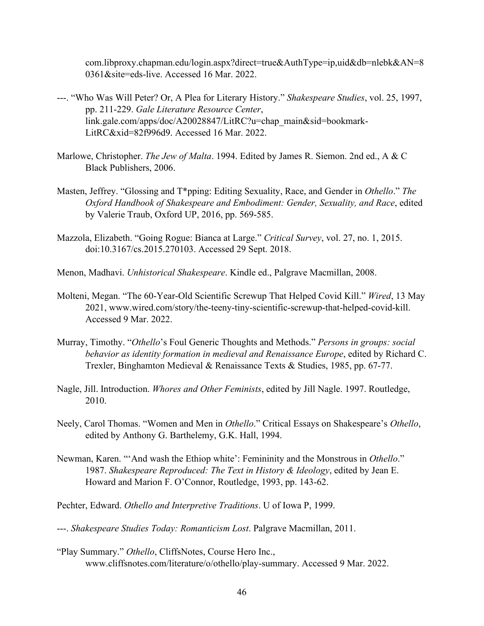com.libproxy.chapman.edu/login.aspx?direct=true&AuthType=ip,uid&db=nlebk&AN=8 0361&site=eds-live. Accessed 16 Mar. 2022.

- ---. "Who Was Will Peter? Or, A Plea for Literary History." *Shakespeare Studies*, vol. 25, 1997, pp. 211-229. *Gale Literature Resource Center*, link.gale.com/apps/doc/A20028847/LitRC?u=chap\_main&sid=bookmark-LitRC&xid=82f996d9. Accessed 16 Mar. 2022.
- Marlowe, Christopher. *The Jew of Malta*. 1994. Edited by James R. Siemon. 2nd ed., A & C Black Publishers, 2006.
- Masten, Jeffrey. "Glossing and T\*pping: Editing Sexuality, Race, and Gender in *Othello*." *The Oxford Handbook of Shakespeare and Embodiment: Gender, Sexuality, and Race*, edited by Valerie Traub, Oxford UP, 2016, pp. 569-585.
- Mazzola, Elizabeth. "Going Rogue: Bianca at Large." *Critical Survey*, vol. 27, no. 1, 2015. doi:10.3167/cs.2015.270103. Accessed 29 Sept. 2018.
- Menon, Madhavi. *Unhistorical Shakespeare*. Kindle ed., Palgrave Macmillan, 2008.
- Molteni, Megan. "The 60-Year-Old Scientific Screwup That Helped Covid Kill." *Wired*, 13 May 2021, www.wired.com/story/the-teeny-tiny-scientific-screwup-that-helped-covid-kill. Accessed 9 Mar. 2022.
- Murray, Timothy. "*Othello*'s Foul Generic Thoughts and Methods." *Persons in groups: social behavior as identity formation in medieval and Renaissance Europe*, edited by Richard C. Trexler, Binghamton Medieval & Renaissance Texts & Studies, 1985, pp. 67-77.
- Nagle, Jill. Introduction. *Whores and Other Feminists*, edited by Jill Nagle. 1997. Routledge, 2010.
- Neely, Carol Thomas. "Women and Men in *Othello*." Critical Essays on Shakespeare's *Othello*, edited by Anthony G. Barthelemy, G.K. Hall, 1994.
- Newman, Karen. "'And wash the Ethiop white': Femininity and the Monstrous in *Othello*." 1987. *Shakespeare Reproduced: The Text in History & Ideology*, edited by Jean E. Howard and Marion F. O'Connor, Routledge, 1993, pp. 143-62.
- Pechter, Edward. *Othello and Interpretive Traditions*. U of Iowa P, 1999.
- ---. *Shakespeare Studies Today: Romanticism Lost*. Palgrave Macmillan, 2011.
- "Play Summary." *Othello*, CliffsNotes, Course Hero Inc., www.cliffsnotes.com/literature/o/othello/play-summary. Accessed 9 Mar. 2022.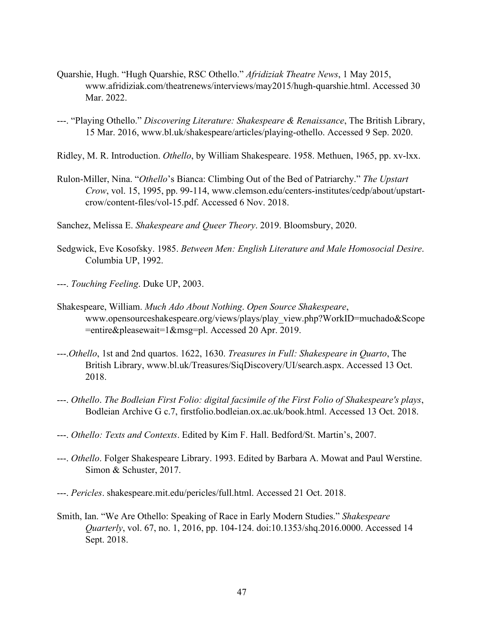- Quarshie, Hugh. "Hugh Quarshie, RSC Othello." *Afridiziak Theatre News*, 1 May 2015, www.afridiziak.com/theatrenews/interviews/may2015/hugh-quarshie.html. Accessed 30 Mar. 2022.
- ---. "Playing Othello." *Discovering Literature: Shakespeare & Renaissance*, The British Library, 15 Mar. 2016, www.bl.uk/shakespeare/articles/playing-othello. Accessed 9 Sep. 2020.
- Ridley, M. R. Introduction. *Othello*, by William Shakespeare. 1958. Methuen, 1965, pp. xv-lxx.
- Rulon-Miller, Nina. "*Othello*'s Bianca: Climbing Out of the Bed of Patriarchy." *The Upstart Crow*, vol. 15, 1995, pp. 99-114, www.clemson.edu/centers-institutes/cedp/about/upstartcrow/content-files/vol-15.pdf. Accessed 6 Nov. 2018.
- Sanchez, Melissa E. *Shakespeare and Queer Theory*. 2019. Bloomsbury, 2020.
- Sedgwick, Eve Kosofsky. 1985. *Between Men: English Literature and Male Homosocial Desire*. Columbia UP, 1992.
- ---. *Touching Feeling*. Duke UP, 2003.
- Shakespeare, William. *Much Ado About Nothing*. *Open Source Shakespeare*, www.opensourceshakespeare.org/views/plays/play\_view.php?WorkID=muchado&Scope =entire&pleasewait=1&msg=pl. Accessed 20 Apr. 2019.
- ---.*Othello*, 1st and 2nd quartos. 1622, 1630. *Treasures in Full: Shakespeare in Quarto*, The British Library, www.bl.uk/Treasures/SiqDiscovery/UI/search.aspx. Accessed 13 Oct. 2018.
- ---. *Othello*. *The Bodleian First Folio: digital facsimile of the First Folio of Shakespeare's plays*, Bodleian Archive G c.7, firstfolio.bodleian.ox.ac.uk/book.html. Accessed 13 Oct. 2018.
- ---. *Othello: Texts and Contexts*. Edited by Kim F. Hall. Bedford/St. Martin's, 2007.
- ---. *Othello*. Folger Shakespeare Library. 1993. Edited by Barbara A. Mowat and Paul Werstine. Simon & Schuster, 2017.
- ---. *Pericles*. shakespeare.mit.edu/pericles/full.html. Accessed 21 Oct. 2018.
- Smith, Ian. "We Are Othello: Speaking of Race in Early Modern Studies." *Shakespeare Quarterly*, vol. 67, no. 1, 2016, pp. 104-124. doi:10.1353/shq.2016.0000. Accessed 14 Sept. 2018.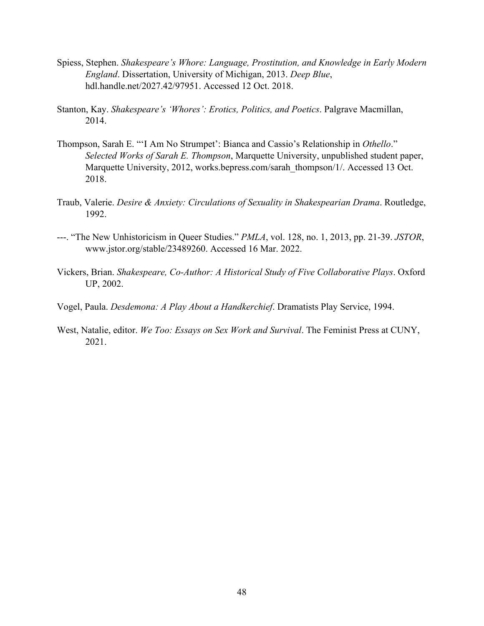- Spiess, Stephen. *Shakespeare's Whore: Language, Prostitution, and Knowledge in Early Modern England*. Dissertation, University of Michigan, 2013. *Deep Blue*, hdl.handle.net/2027.42/97951. Accessed 12 Oct. 2018.
- Stanton, Kay. *Shakespeare's 'Whores': Erotics, Politics, and Poetics*. Palgrave Macmillan, 2014.
- Thompson, Sarah E. "'I Am No Strumpet': Bianca and Cassio's Relationship in *Othello*." *Selected Works of Sarah E. Thompson*, Marquette University, unpublished student paper, Marquette University, 2012, works.bepress.com/sarah\_thompson/1/. Accessed 13 Oct. 2018.
- Traub, Valerie. *Desire & Anxiety: Circulations of Sexuality in Shakespearian Drama*. Routledge, 1992.
- ---. "The New Unhistoricism in Queer Studies." *PMLA*, vol. 128, no. 1, 2013, pp. 21-39. *JSTOR*, www.jstor.org/stable/23489260. Accessed 16 Mar. 2022.
- Vickers, Brian. *Shakespeare, Co-Author: A Historical Study of Five Collaborative Plays*. Oxford UP, 2002.
- Vogel, Paula. *Desdemona: A Play About a Handkerchief*. Dramatists Play Service, 1994.
- West, Natalie, editor. *We Too: Essays on Sex Work and Survival*. The Feminist Press at CUNY, 2021.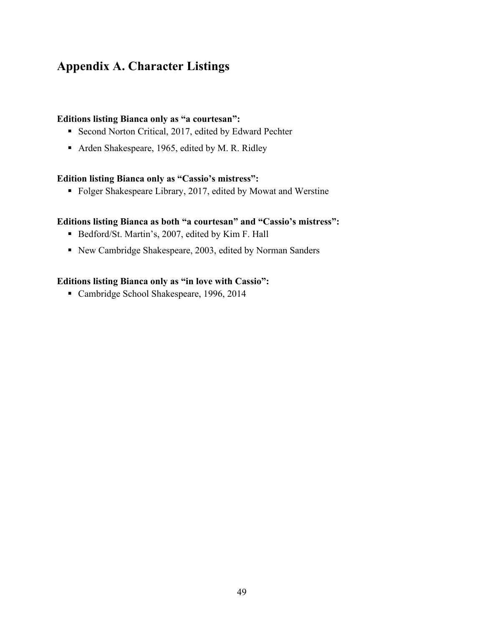## <span id="page-55-0"></span>**Appendix A. Character Listings**

#### **Editions listing Bianca only as "a courtesan":**

- Second Norton Critical, 2017, edited by Edward Pechter
- Arden Shakespeare, 1965, edited by M. R. Ridley

#### **Edition listing Bianca only as "Cassio's mistress":**

Folger Shakespeare Library, 2017, edited by Mowat and Werstine

#### **Editions listing Bianca as both "a courtesan" and "Cassio's mistress":**

- Bedford/St. Martin's, 2007, edited by Kim F. Hall
- New Cambridge Shakespeare, 2003, edited by Norman Sanders

#### **Editions listing Bianca only as "in love with Cassio":**

Cambridge School Shakespeare, 1996, 2014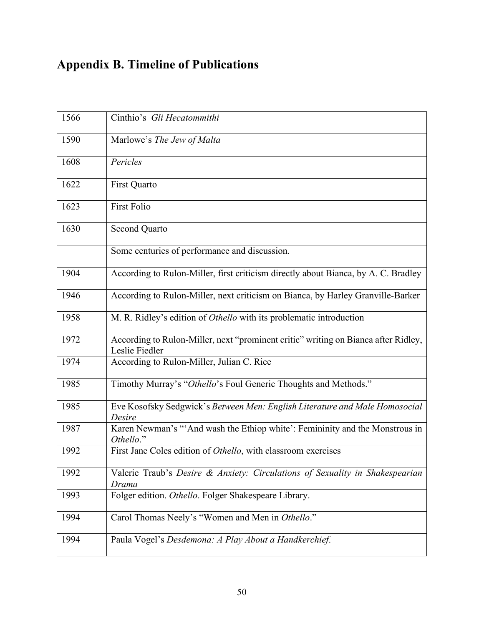# **Appendix B. Timeline of Publications**

| 1566 | Cinthio's Gli Hecatommithi                                                                           |
|------|------------------------------------------------------------------------------------------------------|
| 1590 | Marlowe's The Jew of Malta                                                                           |
| 1608 | Pericles                                                                                             |
| 1622 | First Quarto                                                                                         |
| 1623 | <b>First Folio</b>                                                                                   |
| 1630 | Second Quarto                                                                                        |
|      | Some centuries of performance and discussion.                                                        |
| 1904 | According to Rulon-Miller, first criticism directly about Bianca, by A. C. Bradley                   |
| 1946 | According to Rulon-Miller, next criticism on Bianca, by Harley Granville-Barker                      |
| 1958 | M. R. Ridley's edition of Othello with its problematic introduction                                  |
| 1972 | According to Rulon-Miller, next "prominent critic" writing on Bianca after Ridley,<br>Leslie Fiedler |
| 1974 | According to Rulon-Miller, Julian C. Rice                                                            |
| 1985 | Timothy Murray's "Othello's Foul Generic Thoughts and Methods."                                      |
| 1985 | Eve Kosofsky Sedgwick's Between Men: English Literature and Male Homosocial<br>Desire                |
| 1987 | Karen Newman's "'And wash the Ethiop white': Femininity and the Monstrous in<br>Othello."            |
| 1992 | First Jane Coles edition of Othello, with classroom exercises                                        |
| 1992 | Valerie Traub's Desire & Anxiety: Circulations of Sexuality in Shakespearian<br>Drama                |
| 1993 | Folger edition. Othello. Folger Shakespeare Library.                                                 |
| 1994 | Carol Thomas Neely's "Women and Men in Othello."                                                     |
| 1994 | Paula Vogel's Desdemona: A Play About a Handkerchief.                                                |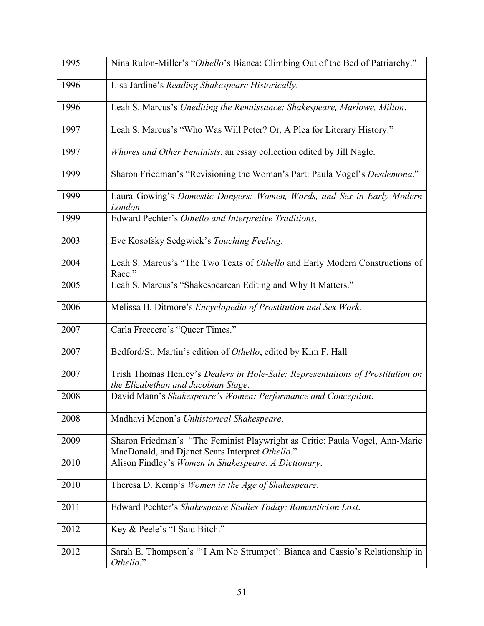| 1995 | Nina Rulon-Miller's "Othello's Bianca: Climbing Out of the Bed of Patriarchy."                                                  |
|------|---------------------------------------------------------------------------------------------------------------------------------|
| 1996 | Lisa Jardine's Reading Shakespeare Historically.                                                                                |
| 1996 | Leah S. Marcus's Unediting the Renaissance: Shakespeare, Marlowe, Milton.                                                       |
| 1997 | Leah S. Marcus's "Who Was Will Peter? Or, A Plea for Literary History."                                                         |
| 1997 | Whores and Other Feminists, an essay collection edited by Jill Nagle.                                                           |
| 1999 | Sharon Friedman's "Revisioning the Woman's Part: Paula Vogel's Desdemona."                                                      |
| 1999 | Laura Gowing's Domestic Dangers: Women, Words, and Sex in Early Modern<br>London                                                |
| 1999 | Edward Pechter's Othello and Interpretive Traditions.                                                                           |
| 2003 | Eve Kosofsky Sedgwick's Touching Feeling.                                                                                       |
| 2004 | Leah S. Marcus's "The Two Texts of Othello and Early Modern Constructions of<br>Race."                                          |
| 2005 | Leah S. Marcus's "Shakespearean Editing and Why It Matters."                                                                    |
| 2006 | Melissa H. Ditmore's Encyclopedia of Prostitution and Sex Work.                                                                 |
| 2007 | Carla Freccero's "Queer Times."                                                                                                 |
| 2007 | Bedford/St. Martin's edition of Othello, edited by Kim F. Hall                                                                  |
| 2007 | Trish Thomas Henley's Dealers in Hole-Sale: Representations of Prostitution on<br>the Elizabethan and Jacobian Stage.           |
| 2008 | David Mann's Shakespeare's Women: Performance and Conception.                                                                   |
| 2008 | Madhavi Menon's Unhistorical Shakespeare.                                                                                       |
| 2009 | Sharon Friedman's "The Feminist Playwright as Critic: Paula Vogel, Ann-Marie<br>MacDonald, and Djanet Sears Interpret Othello." |
| 2010 | Alison Findley's Women in Shakespeare: A Dictionary.                                                                            |
| 2010 | Theresa D. Kemp's Women in the Age of Shakespeare.                                                                              |
| 2011 | Edward Pechter's Shakespeare Studies Today: Romanticism Lost.                                                                   |
| 2012 | Key & Peele's "I Said Bitch."                                                                                                   |
| 2012 | Sarah E. Thompson's "'I Am No Strumpet': Bianca and Cassio's Relationship in<br>Othello."                                       |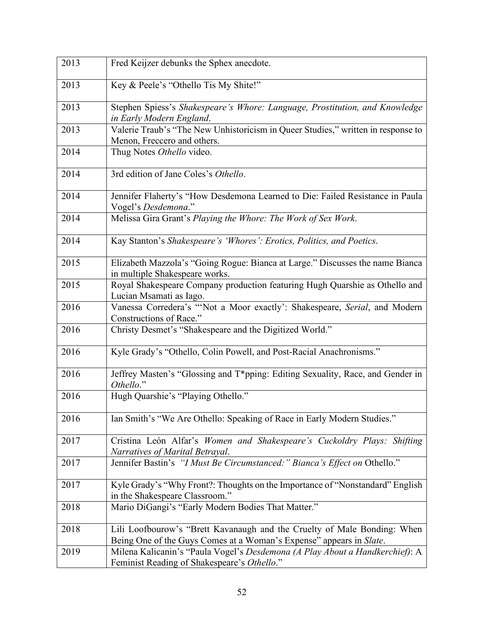| 2013 | Fred Keijzer debunks the Sphex anecdote.                                                                                                        |
|------|-------------------------------------------------------------------------------------------------------------------------------------------------|
| 2013 | Key & Peele's "Othello Tis My Shite!"                                                                                                           |
| 2013 | Stephen Spiess's Shakespeare's Whore: Language, Prostitution, and Knowledge<br>in Early Modern England.                                         |
| 2013 | Valerie Traub's "The New Unhistoricism in Queer Studies," written in response to<br>Menon, Freccero and others.                                 |
| 2014 | Thug Notes Othello video.                                                                                                                       |
| 2014 | 3rd edition of Jane Coles's Othello.                                                                                                            |
| 2014 | Jennifer Flaherty's "How Desdemona Learned to Die: Failed Resistance in Paula<br>Vogel's Desdemona."                                            |
| 2014 | Melissa Gira Grant's Playing the Whore: The Work of Sex Work.                                                                                   |
| 2014 | Kay Stanton's Shakespeare's 'Whores': Erotics, Politics, and Poetics.                                                                           |
| 2015 | Elizabeth Mazzola's "Going Rogue: Bianca at Large." Discusses the name Bianca<br>in multiple Shakespeare works.                                 |
| 2015 | Royal Shakespeare Company production featuring Hugh Quarshie as Othello and<br>Lucian Msamati as Iago.                                          |
| 2016 | Vanessa Corredera's "'Not a Moor exactly': Shakespeare, Serial, and Modern<br>Constructions of Race."                                           |
| 2016 | Christy Desmet's "Shakespeare and the Digitized World."                                                                                         |
| 2016 | Kyle Grady's "Othello, Colin Powell, and Post-Racial Anachronisms."                                                                             |
| 2016 | Jeffrey Masten's "Glossing and T*pping: Editing Sexuality, Race, and Gender in<br>Othello."                                                     |
| 2016 | Hugh Quarshie's "Playing Othello."                                                                                                              |
| 2016 | Ian Smith's "We Are Othello: Speaking of Race in Early Modern Studies."                                                                         |
| 2017 | Cristina León Alfar's Women and Shakespeare's Cuckoldry Plays: Shifting<br>Narratives of Marital Betrayal.                                      |
| 2017 | Jennifer Bastin's "I Must Be Circumstanced:" Bianca's Effect on Othello."                                                                       |
| 2017 | Kyle Grady's "Why Front?: Thoughts on the Importance of "Nonstandard" English<br>in the Shakespeare Classroom."                                 |
| 2018 | Mario DiGangi's "Early Modern Bodies That Matter."                                                                                              |
| 2018 | Lili Loofbourow's "Brett Kavanaugh and the Cruelty of Male Bonding: When<br>Being One of the Guys Comes at a Woman's Expense" appears in Slate. |
| 2019 | Milena Kalicanin's "Paula Vogel's Desdemona (A Play About a Handkerchief): A<br>Feminist Reading of Shakespeare's Othello."                     |